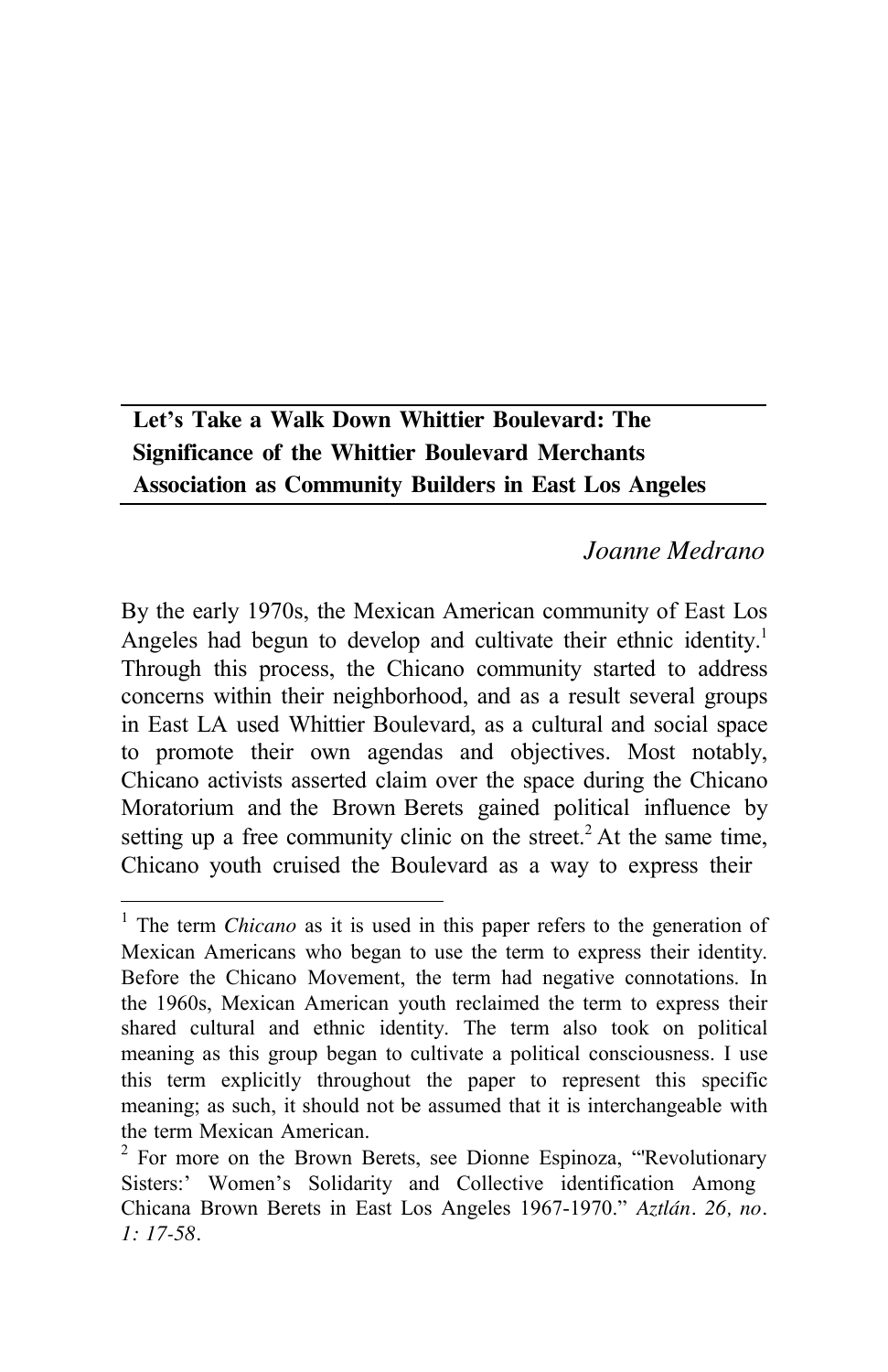# **Let's Take a Walk Down Whittier Boulevard: The Significance of the Whittier Boulevard Merchants Association as Community Builders in East Los Angeles**

## *Joanne Medrano*

By the early 1970s, the Mexican American community of East Los Angeles had begun to develop and cultivate their ethnic identity.<sup>1</sup> Through this process, the Chicano community started to address concerns within their neighborhood, and as a result several groups in East LA used Whittier Boulevard, as a cultural and social space to promote their own agendas and objectives. Most notably, Chicano activists asserted claim over the space during the Chicano Moratorium and the Brown Berets gained political influence by setting up a free community clinic on the street.<sup>2</sup> At the same time, Chicano youth cruised the Boulevard as a way to express their

<sup>1</sup> The term *Chicano* as it is used in this paper refers to the generation of Mexican Americans who began to use the term to express their identity. Before the Chicano Movement, the term had negative connotations. In the 1960s, Mexican American youth reclaimed the term to express their shared cultural and ethnic identity. The term also took on political meaning as this group began to cultivate a political consciousness. I use this term explicitly throughout the paper to represent this specific meaning; as such, it should not be assumed that it is interchangeable with the term Mexican American.

 $2^2$  For more on the Brown Berets, see Dionne Espinoza, "Revolutionary Sisters:' Women's Solidarity and Collective identification Among Chicana Brown Berets in East Los Angeles 1967-1970." *Aztlán. 26, no. 1: 17-58.*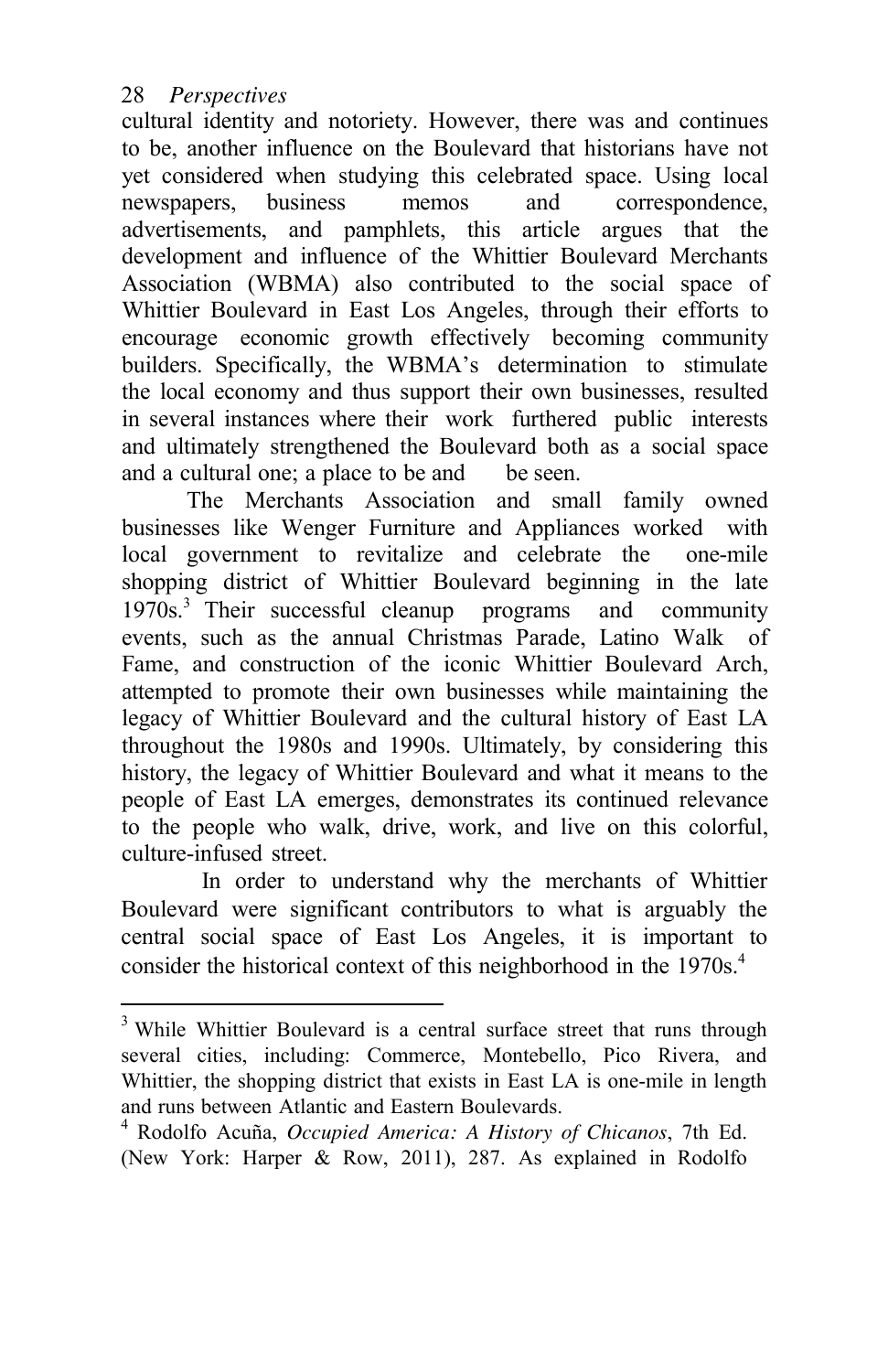cultural identity and notoriety. However, there was and continues to be, another influence on the Boulevard that historians have not yet considered when studying this celebrated space. Using local newspapers, business memos and correspondence, advertisements, and pamphlets, this article argues that the development and influence of the Whittier Boulevard Merchants Association (WBMA) also contributed to the social space of Whittier Boulevard in East Los Angeles, through their efforts to encourage economic growth effectively becoming community builders. Specifically, the WBMA's determination to stimulate the local economy and thus support their own businesses, resulted in several instances where their work furthered public interests and ultimately strengthened the Boulevard both as a social space and a cultural one; a place to be and be seen.

The Merchants Association and small family owned businesses like Wenger Furniture and Appliances worked with local government to revitalize and celebrate the one-mile shopping district of Whittier Boulevard beginning in the late 1970s.3 Their successful cleanup programs and community events, such as the annual Christmas Parade, Latino Walk of Fame, and construction of the iconic Whittier Boulevard Arch, attempted to promote their own businesses while maintaining the legacy of Whittier Boulevard and the cultural history of East LA throughout the 1980s and 1990s. Ultimately, by considering this history, the legacy of Whittier Boulevard and what it means to the people of East LA emerges, demonstrates its continued relevance to the people who walk, drive, work, and live on this colorful, culture-infused street.

In order to understand why the merchants of Whittier Boulevard were significant contributors to what is arguably the central social space of East Los Angeles, it is important to consider the historical context of this neighborhood in the 1970s.<sup>4</sup>

<sup>&</sup>lt;sup>3</sup> While Whittier Boulevard is a central surface street that runs through several cities, including: Commerce, Montebello, Pico Rivera, and Whittier, the shopping district that exists in East LA is one-mile in length and runs between Atlantic and Eastern Boulevards.

<sup>4</sup> Rodolfo Acuña, *Occupied America: A History of Chicanos*, 7th Ed. (New York: Harper & Row, 2011), 287. As explained in Rodolfo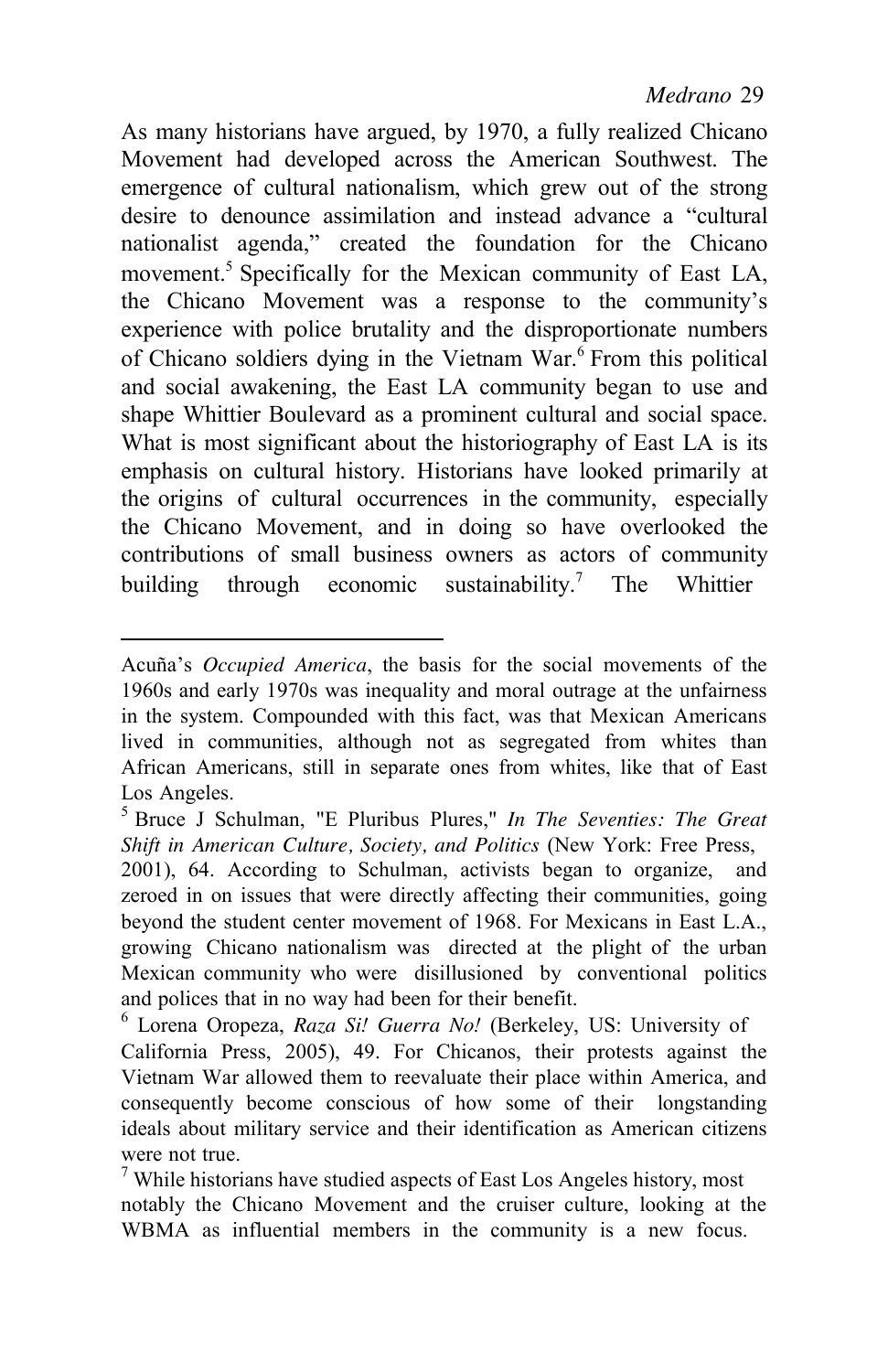As many historians have argued, by 1970, a fully realized Chicano Movement had developed across the American Southwest. The emergence of cultural nationalism, which grew out of the strong desire to denounce assimilation and instead advance a "cultural nationalist agenda," created the foundation for the Chicano movement.<sup>5</sup> Specifically for the Mexican community of East LA, the Chicano Movement was a response to the community's experience with police brutality and the disproportionate numbers of Chicano soldiers dying in the Vietnam War.<sup>6</sup> From this political and social awakening, the East LA community began to use and shape Whittier Boulevard as a prominent cultural and social space. What is most significant about the historiography of East LA is its emphasis on cultural history. Historians have looked primarily at the origins of cultural occurrences in the community, especially the Chicano Movement, and in doing so have overlooked the contributions of small business owners as actors of community building through economic sustainability.<sup>7</sup> The Whittier

Acuña's *Occupied America*, the basis for the social movements of the 1960s and early 1970s was inequality and moral outrage at the unfairness in the system. Compounded with this fact, was that Mexican Americans lived in communities, although not as segregated from whites than African Americans, still in separate ones from whites, like that of East Los Angeles.

<sup>5</sup> Bruce J Schulman, "E Pluribus Plures," *In The Seventies: The Great Shift in American Culture, Society, and Politics* (New York: Free Press,

<sup>2001), 64.</sup> According to Schulman, activists began to organize, and zeroed in on issues that were directly affecting their communities, going beyond the student center movement of 1968. For Mexicans in East L.A., growing Chicano nationalism was directed at the plight of the urban Mexican community who were disillusioned by conventional politics and polices that in no way had been for their benefit. 6 Lorena Oropeza, *Raza Si! Guerra No!* (Berkeley, US: University of

California Press, 2005), 49. For Chicanos, their protests against the Vietnam War allowed them to reevaluate their place within America, and consequently become conscious of how some of their longstanding ideals about military service and their identification as American citizens

were not true.<br><sup>7</sup> While historians have studied aspects of East Los Angeles history, most notably the Chicano Movement and the cruiser culture, looking at the WBMA as influential members in the community is a new focus.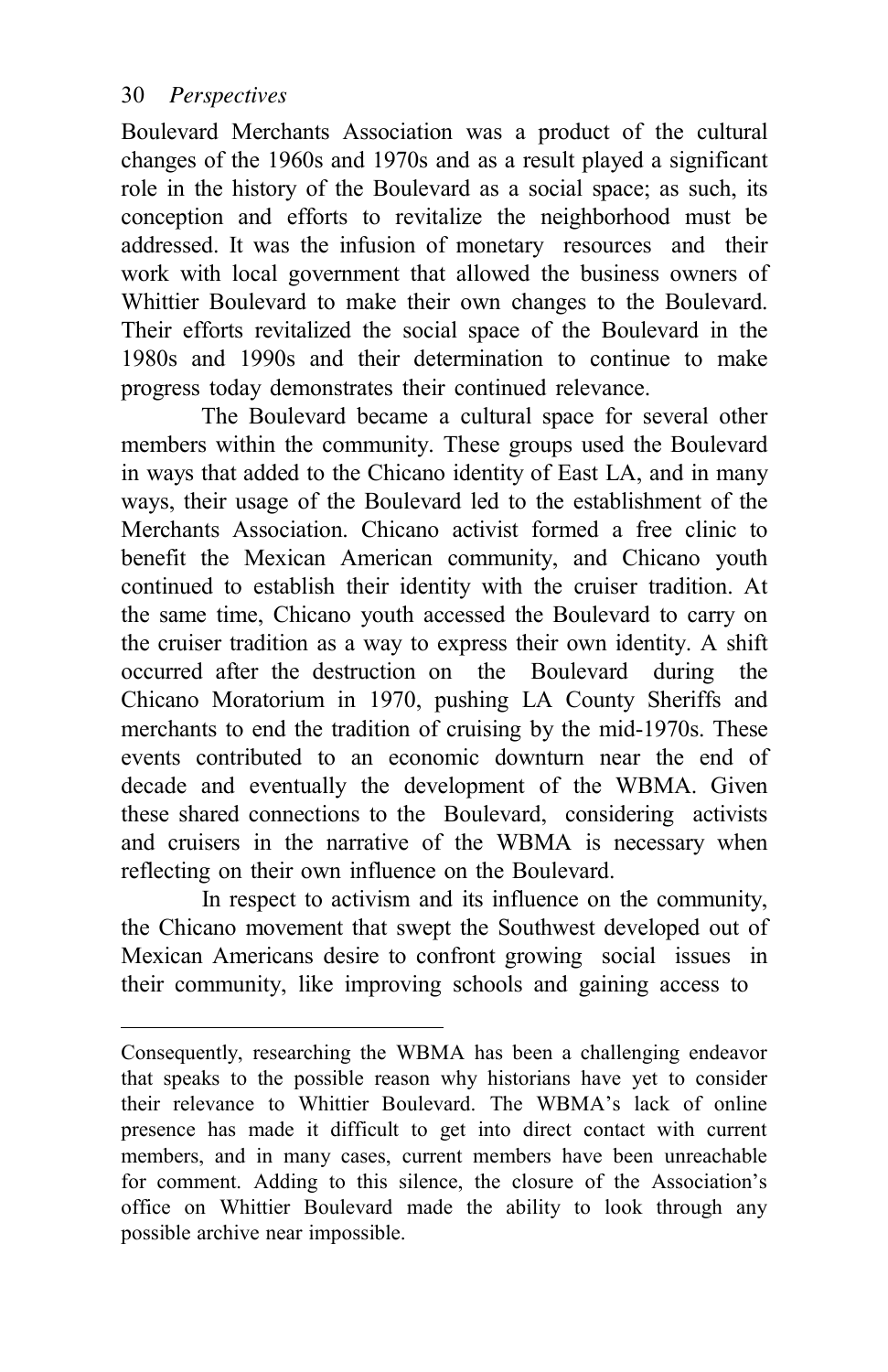Boulevard Merchants Association was a product of the cultural changes of the 1960s and 1970s and as a result played a significant role in the history of the Boulevard as a social space; as such, its conception and efforts to revitalize the neighborhood must be addressed. It was the infusion of monetary resources and their work with local government that allowed the business owners of Whittier Boulevard to make their own changes to the Boulevard. Their efforts revitalized the social space of the Boulevard in the 1980s and 1990s and their determination to continue to make progress today demonstrates their continued relevance.

The Boulevard became a cultural space for several other members within the community. These groups used the Boulevard in ways that added to the Chicano identity of East LA, and in many ways, their usage of the Boulevard led to the establishment of the Merchants Association. Chicano activist formed a free clinic to benefit the Mexican American community, and Chicano youth continued to establish their identity with the cruiser tradition. At the same time, Chicano youth accessed the Boulevard to carry on the cruiser tradition as a way to express their own identity. A shift occurred after the destruction on the Boulevard during the Chicano Moratorium in 1970, pushing LA County Sheriffs and merchants to end the tradition of cruising by the mid-1970s. These events contributed to an economic downturn near the end of decade and eventually the development of the WBMA. Given these shared connections to the Boulevard, considering activists and cruisers in the narrative of the WBMA is necessary when reflecting on their own influence on the Boulevard.

In respect to activism and its influence on the community, the Chicano movement that swept the Southwest developed out of Mexican Americans desire to confront growing social issues in their community, like improving schools and gaining access to

Consequently, researching the WBMA has been a challenging endeavor that speaks to the possible reason why historians have yet to consider their relevance to Whittier Boulevard. The WBMA's lack of online presence has made it difficult to get into direct contact with current members, and in many cases, current members have been unreachable for comment. Adding to this silence, the closure of the Association's office on Whittier Boulevard made the ability to look through any possible archive near impossible.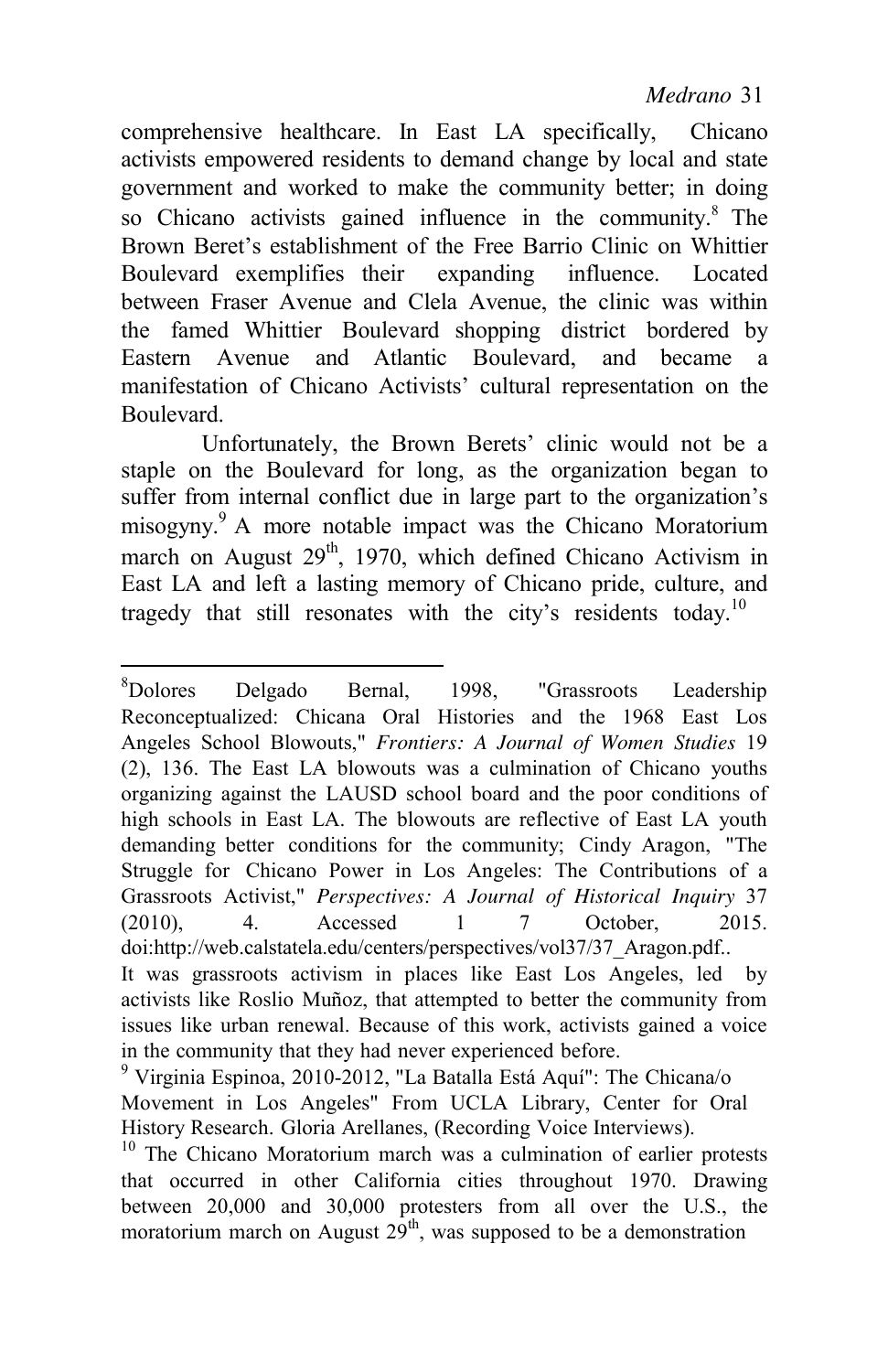comprehensive healthcare. In East LA specifically, Chicano activists empowered residents to demand change by local and state government and worked to make the community better; in doing so Chicano activists gained influence in the community.<sup>8</sup> The Brown Beret's establishment of the Free Barrio Clinic on Whittier Boulevard exemplifies their expanding influence. Located between Fraser Avenue and Clela Avenue, the clinic was within the famed Whittier Boulevard shopping district bordered by Eastern Avenue and Atlantic Boulevard, and became a manifestation of Chicano Activists' cultural representation on the **Boulevard** 

Unfortunately, the Brown Berets' clinic would not be a staple on the Boulevard for long, as the organization began to suffer from internal conflict due in large part to the organization's misogyny.9 A more notable impact was the Chicano Moratorium march on August  $29<sup>th</sup>$ , 1970, which defined Chicano Activism in East LA and left a lasting memory of Chicano pride, culture, and tragedy that still resonates with the city's residents today.<sup>10</sup>

<sup>&</sup>lt;sup>8</sup>Dolores Delgado Bernal, 1998, "Grassroots Leadership Reconceptualized: Chicana Oral Histories and the 1968 East Los Angeles School Blowouts," *Frontiers: A Journal of Women Studies* 19 (2), 136. The East LA blowouts was a culmination of Chicano youths organizing against the LAUSD school board and the poor conditions of high schools in East LA. The blowouts are reflective of East LA youth demanding better conditions for the community; Cindy Aragon, "The Struggle for Chicano Power in Los Angeles: The Contributions of a Grassroots Activist," *Perspectives: A Journal of Historical Inquiry* 37 (2010), 4. Accessed 1 7 October, 2015. [doi:http://web.calstatela.edu/centers/perspectives/vol37/37\\_Aragon.pdf..](http://web.calstatela.edu/centers/perspectives/vol37/37_Aragon.pdf)  It was grassroots activism in places like East Los Angeles, led by

activists like Roslio Muñoz, that attempted to better the community from issues like urban renewal. Because of this work, activists gained a voice in the community that they had never experienced before.<br><sup>9</sup> Virginia Espinoa, 2010-2012, "La Batalla Está Aquí": The Chicana/o

Movement in Los Angeles" From UCLA Library, Center for Oral History Research. Gloria Arellanes, (Recording Voice Interviews).

 $10$  The Chicano Moratorium march was a culmination of earlier protests that occurred in other California cities throughout 1970. Drawing between 20,000 and 30,000 protesters from all over the U.S., the moratorium march on August  $29<sup>th</sup>$ , was supposed to be a demonstration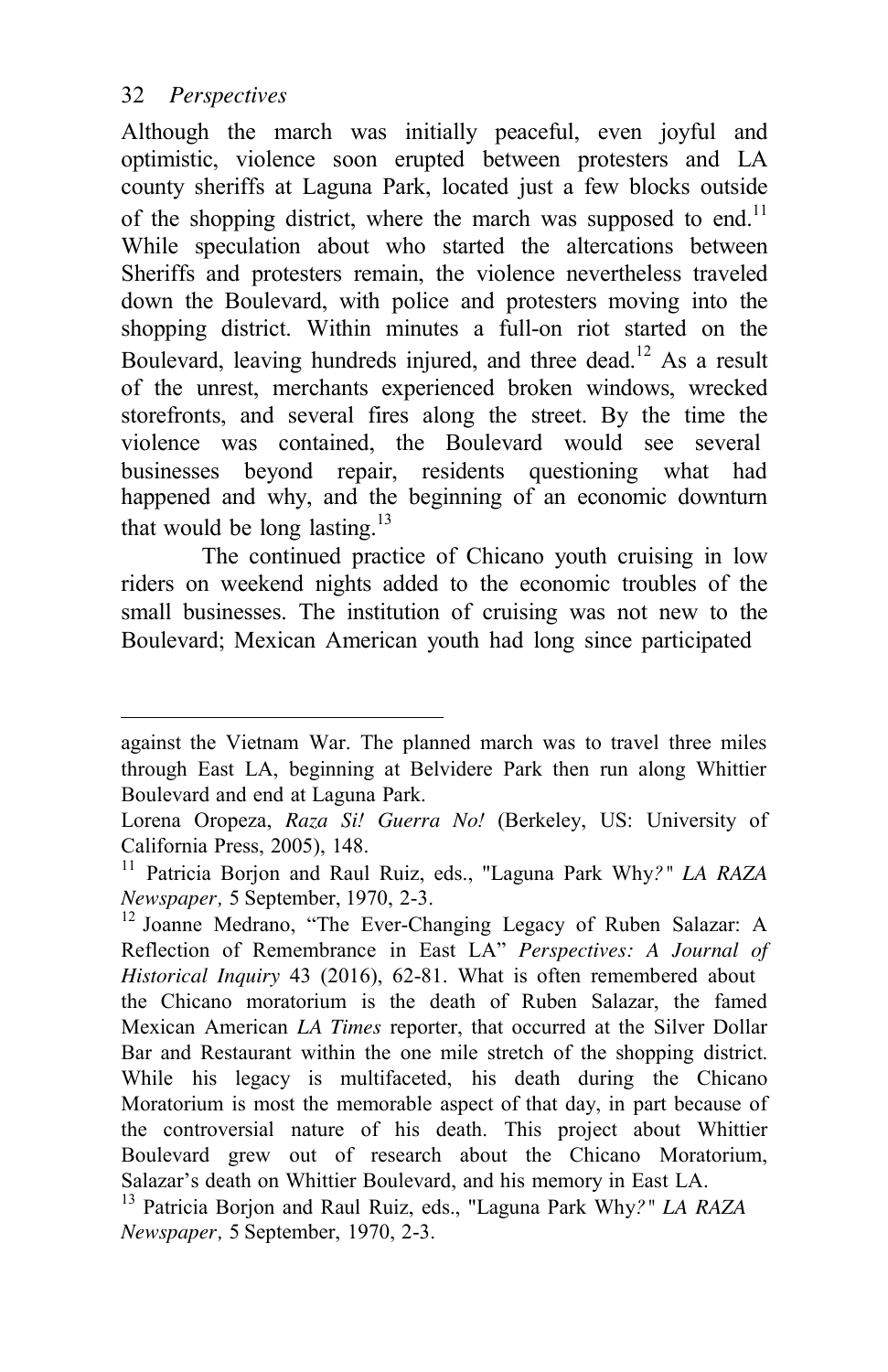Although the march was initially peaceful, even joyful and optimistic, violence soon erupted between protesters and LA county sheriffs at Laguna Park, located just a few blocks outside of the shopping district, where the march was supposed to end.<sup>11</sup> While speculation about who started the altercations between Sheriffs and protesters remain, the violence nevertheless traveled down the Boulevard, with police and protesters moving into the shopping district. Within minutes a full-on riot started on the Boulevard, leaving hundreds injured, and three dead.<sup>12</sup> As a result of the unrest, merchants experienced broken windows, wrecked storefronts, and several fires along the street. By the time the violence was contained, the Boulevard would see several businesses beyond repair, residents questioning what had happened and why, and the beginning of an economic downturn that would be long lasting.<sup>13</sup>

The continued practice of Chicano youth cruising in low riders on weekend nights added to the economic troubles of the small businesses. The institution of cruising was not new to the Boulevard; Mexican American youth had long since participated

against the Vietnam War. The planned march was to travel three miles through East LA, beginning at Belvidere Park then run along Whittier Boulevard and end at Laguna Park.

Lorena Oropeza, *Raza Si! Guerra No!* (Berkeley, US: University of California Press, 2005), 148.

<sup>11</sup> Patricia Borjon and Raul Ruiz, eds., "Laguna Park Why*?" LA RAZA* 

*Newspaper*, 5 September, 1970, 2-3.<br><sup>12</sup> Joanne Medrano, "The Ever-Changing Legacy of Ruben Salazar: A Reflection of Remembrance in East LA" *Perspectives: A Journal of Historical Inquiry* 43 (2016), 62-81. What is often remembered about the Chicano moratorium is the death of Ruben Salazar, the famed Mexican American *LA Times* reporter, that occurred at the Silver Dollar Bar and Restaurant within the one mile stretch of the shopping district. While his legacy is multifaceted, his death during the Chicano Moratorium is most the memorable aspect of that day, in part because of the controversial nature of his death. This project about Whittier Boulevard grew out of research about the Chicano Moratorium, Salazar's death on Whittier Boulevard, and his memory in East LA. 13 Patricia Borjon and Raul Ruiz, eds., "Laguna Park Why*?" LA RAZA*

*Newspaper,* 5 September, 1970, 2-3.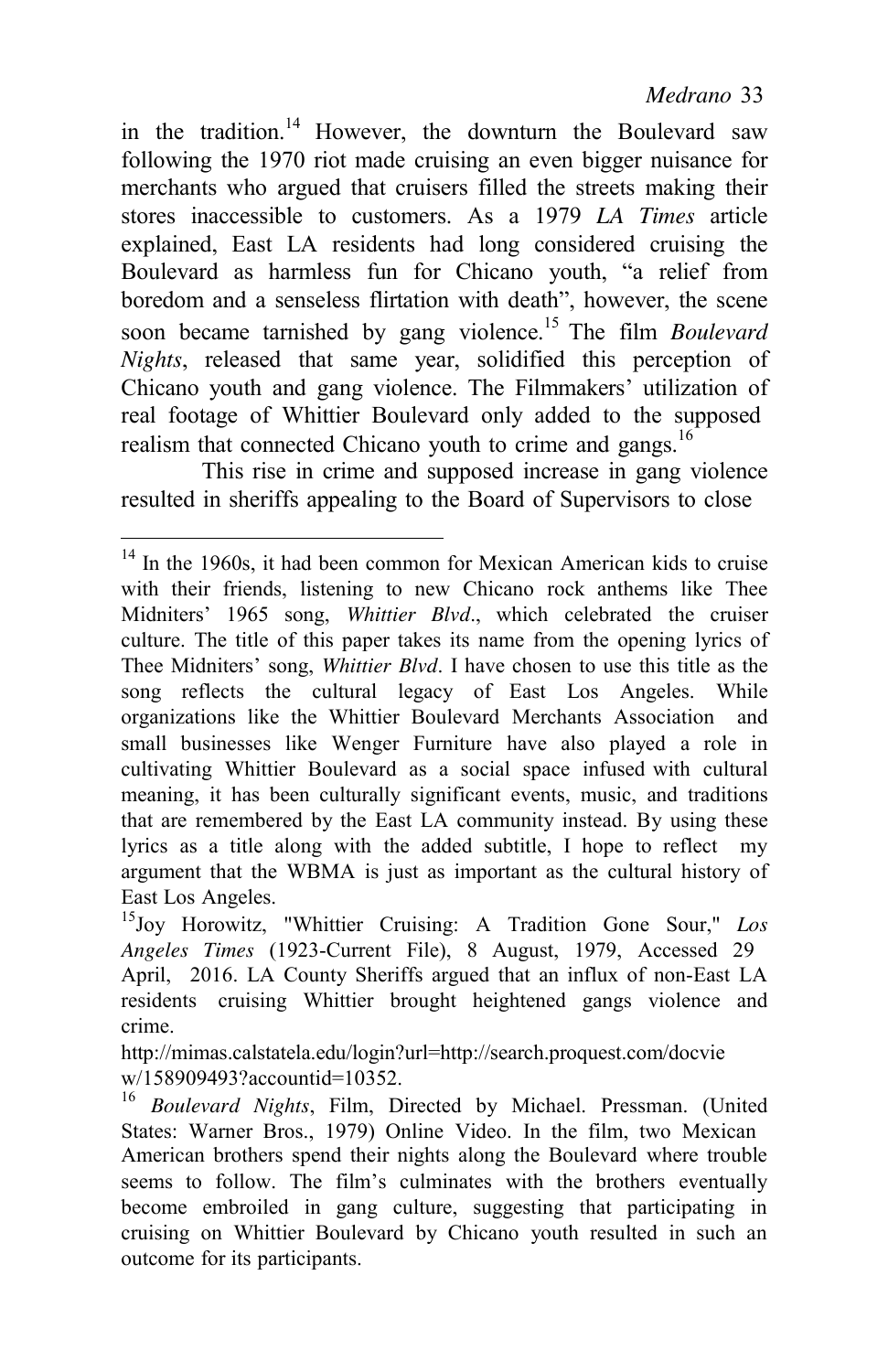in the tradition.<sup>14</sup> However, the downturn the Boulevard saw following the 1970 riot made cruising an even bigger nuisance for merchants who argued that cruisers filled the streets making their stores inaccessible to customers. As a 1979 *LA Times* article explained, East LA residents had long considered cruising the Boulevard as harmless fun for Chicano youth, "a relief from boredom and a senseless flirtation with death", however, the scene soon became tarnished by gang violence.15 The film *Boulevard Nights*, released that same year, solidified this perception of Chicano youth and gang violence. The Filmmakers' utilization of real footage of Whittier Boulevard only added to the supposed realism that connected Chicano youth to crime and gangs.<sup>16</sup>

This rise in crime and supposed increase in gang violence resulted in sheriffs appealing to the Board of Supervisors to close

 $14$  In the 1960s, it had been common for Mexican American kids to cruise with their friends, listening to new Chicano rock anthems like Thee Midniters' 1965 song, *Whittier Blvd*., which celebrated the cruiser culture. The title of this paper takes its name from the opening lyrics of Thee Midniters' song, *Whittier Blvd*. I have chosen to use this title as the song reflects the cultural legacy of East Los Angeles. While organizations like the Whittier Boulevard Merchants Association and small businesses like Wenger Furniture have also played a role in cultivating Whittier Boulevard as a social space infused with cultural meaning, it has been culturally significant events, music, and traditions that are remembered by the East LA community instead. By using these lyrics as a title along with the added subtitle, I hope to reflect my argument that the WBMA is just as important as the cultural history of East Los Angeles.

<sup>15</sup>Joy Horowitz, "Whittier Cruising: A Tradition Gone Sour," *Los Angeles Times* (1923-Current File), 8 August, 1979, Accessed 29 April, 2016. LA County Sheriffs argued that an influx of non-East LA residents cruising Whittier brought heightened gangs violence and crime.

[http://mimas.calstatela.edu/login?url=http://search.proquest.com/docvie](http://mimas.calstatela.edu/login?ur) w/158909493?accountid=10352.<br><sup>16</sup> *Boulevard Nights*, Film, Directed by Michael. Pressman. (United

States: Warner Bros., 1979) Online Video. In the film, two Mexican American brothers spend their nights along the Boulevard where trouble seems to follow. The film's culminates with the brothers eventually become embroiled in gang culture, suggesting that participating in cruising on Whittier Boulevard by Chicano youth resulted in such an outcome for its participants.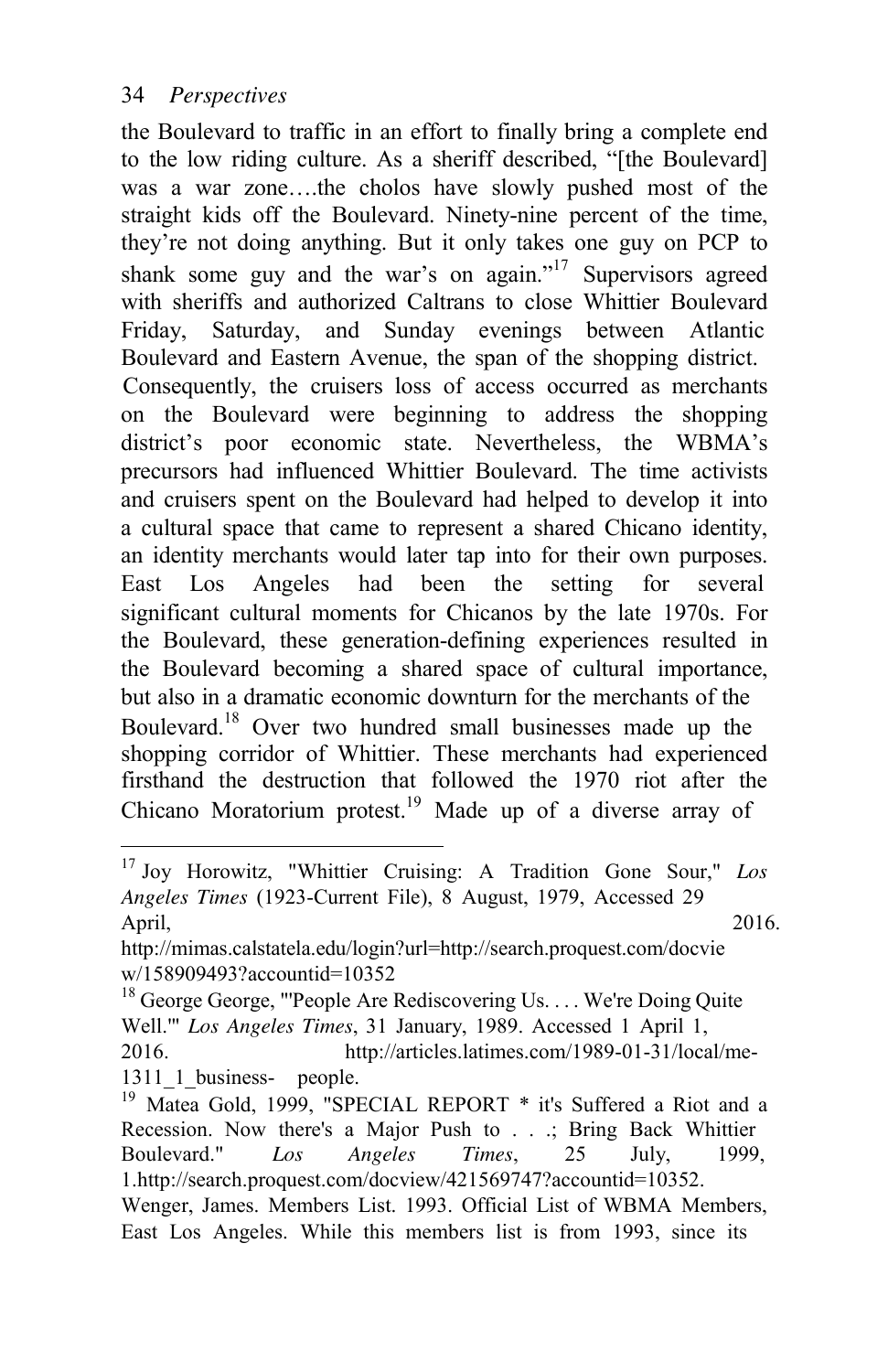the Boulevard to traffic in an effort to finally bring a complete end to the low riding culture. As a sheriff described, "[the Boulevard] was a war zone….the cholos have slowly pushed most of the straight kids off the Boulevard. Ninety-nine percent of the time, they're not doing anything. But it only takes one guy on PCP to shank some guy and the war's on again."<sup>17</sup> Supervisors agreed with sheriffs and authorized Caltrans to close Whittier Boulevard Friday, Saturday, and Sunday evenings between Atlantic Boulevard and Eastern Avenue, the span of the shopping district. Consequently, the cruisers loss of access occurred as merchants on the Boulevard were beginning to address the shopping district's poor economic state. Nevertheless, the WBMA's precursors had influenced Whittier Boulevard. The time activists and cruisers spent on the Boulevard had helped to develop it into a cultural space that came to represent a shared Chicano identity, an identity merchants would later tap into for their own purposes. East Los Angeles had been the setting for several significant cultural moments for Chicanos by the late 1970s. For the Boulevard, these generation-defining experiences resulted in the Boulevard becoming a shared space of cultural importance, but also in a dramatic economic downturn for the merchants of the Boulevard.18 Over two hundred small businesses made up the shopping corridor of Whittier. These merchants had experienced firsthand the destruction that followed the 1970 riot after the Chicano Moratorium protest.<sup>19</sup> Made up of a diverse array of

<sup>17</sup> Joy Horowitz, "Whittier Cruising: A Tradition Gone Sour," *Los Angeles Times* (1923-Current File), 8 August, 1979, Accessed 29 April, 2016.

[http://mimas.calstatela.edu/login?url=http://search.proquest.com/docvie](http://mimas.calstatela.edu/login?ur) w/158909493?accountid=10352

<sup>&</sup>lt;sup>18</sup> George George, "'People Are Rediscovering Us. . . . We're Doing Quite Well.'" *Los Angeles Times*, 31 January, 1989. Accessed 1 April 1, 2016. [http://articles.latimes.com/1989-01-31/local/me-](http://articles.latimes.com/1989-01-31/local/me-1311_1_business-)

[<sup>1311</sup>\\_1\\_business-](http://articles.latimes.com/1989-01-31/local/me-1311_1_business-) people.<br><sup>19</sup> Matea Gold, 1999, "SPECIAL REPORT \* it's Suffered a Riot and a Recession. Now there's a Major Push to . . .; Bring Back Whittier Boulevard." *Los Angeles Times*, 25 July, 1999, 1[.http://search.proquest.com/docview/421569747?accountid=10352.](http://search.proquest.com/docview/421569747?accountid=10352) Wenger, James. Members List. 1993. Official List of WBMA Members, East Los Angeles. While this members list is from 1993, since its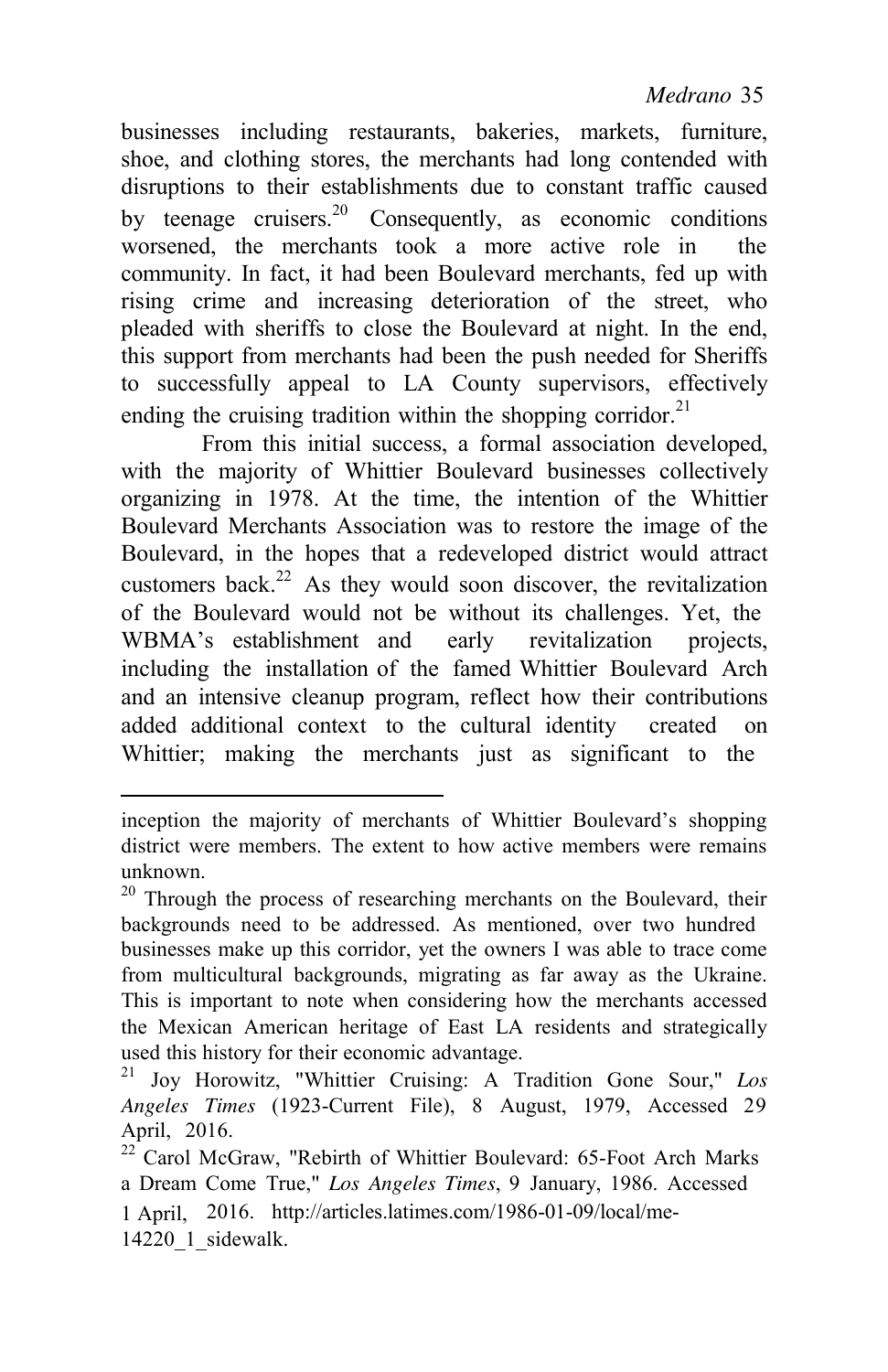businesses including restaurants, bakeries, markets, furniture, shoe, and clothing stores, the merchants had long contended with disruptions to their establishments due to constant traffic caused by teenage cruisers.<sup>20</sup> Consequently, as economic conditions worsened, the merchants took a more active role in the community. In fact, it had been Boulevard merchants, fed up with rising crime and increasing deterioration of the street, who pleaded with sheriffs to close the Boulevard at night. In the end, this support from merchants had been the push needed for Sheriffs to successfully appeal to LA County supervisors, effectively ending the cruising tradition within the shopping corridor.<sup>21</sup>

From this initial success, a formal association developed, with the majority of Whittier Boulevard businesses collectively organizing in 1978. At the time, the intention of the Whittier Boulevard Merchants Association was to restore the image of the Boulevard, in the hopes that a redeveloped district would attract customers back.<sup>22</sup> As they would soon discover, the revitalization of the Boulevard would not be without its challenges. Yet, the WBMA's establishment and early revitalization projects, including the installation of the famed Whittier Boulevard Arch and an intensive cleanup program, reflect how their contributions added additional context to the cultural identity created on Whittier; making the merchants just as significant to the

inception the majority of merchants of Whittier Boulevard's shopping district were members. The extent to how active members were remains unknown.

 $20$  Through the process of researching merchants on the Boulevard, their backgrounds need to be addressed. As mentioned, over two hundred businesses make up this corridor, yet the owners I was able to trace come from multicultural backgrounds, migrating as far away as the Ukraine. This is important to note when considering how the merchants accessed the Mexican American heritage of East LA residents and strategically used this history for their economic advantage.

<sup>21</sup> Joy Horowitz, "Whittier Cruising: A Tradition Gone Sour," *Los Angeles Times* (1923-Current File), 8 August, 1979, Accessed 29 April, 2016.

<sup>1</sup> April, 2016. <http://articles.latimes.com/1986-01-09/local/me->14220\_1\_sidewalk. <sup>22</sup> Carol McGraw, "Rebirth of Whittier Boulevard: 65-Foot Arch Marks a Dream Come True," *Los Angeles Times*, 9 January, 1986. Accessed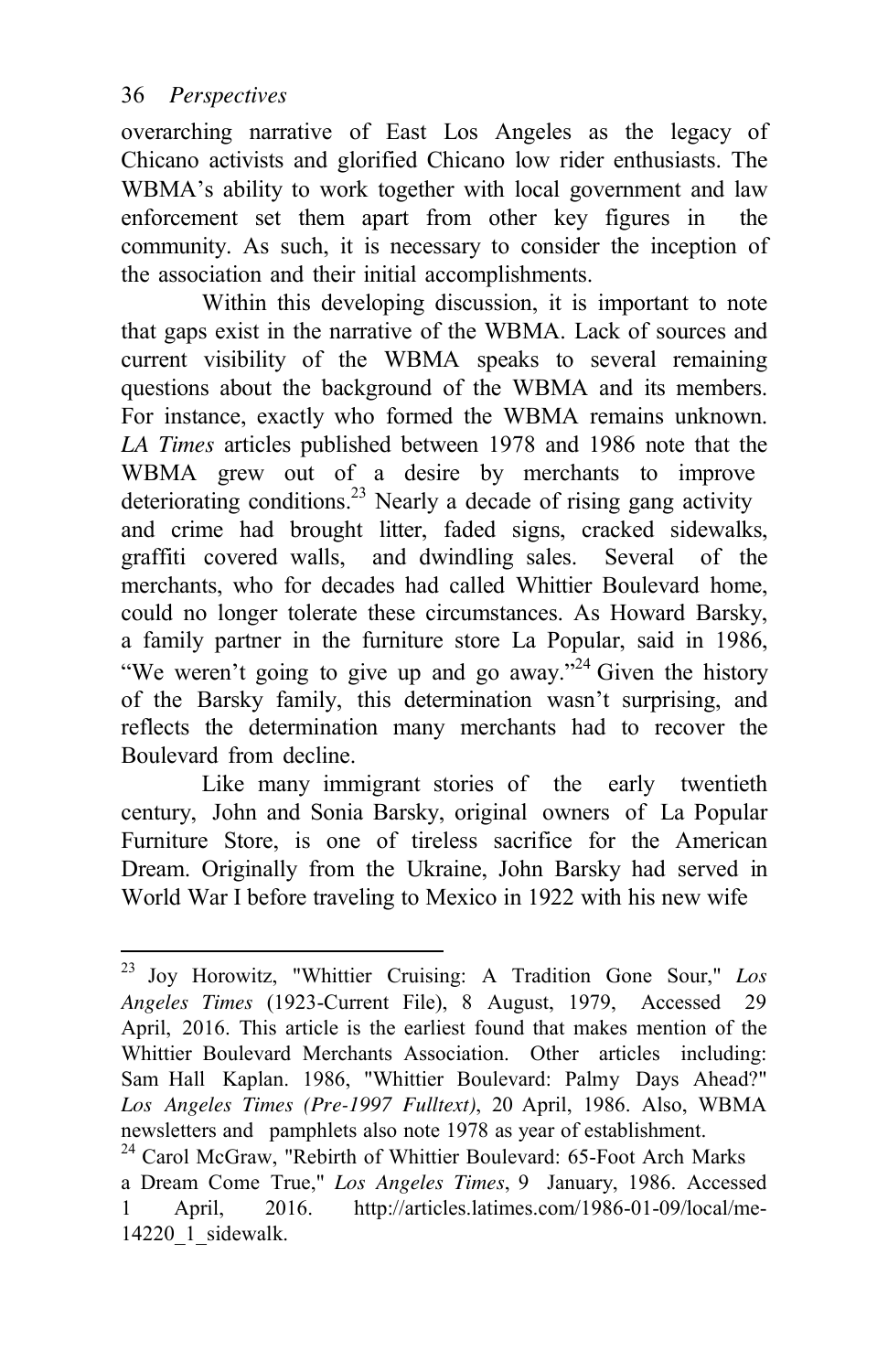overarching narrative of East Los Angeles as the legacy of Chicano activists and glorified Chicano low rider enthusiasts. The WBMA's ability to work together with local government and law enforcement set them apart from other key figures in the community. As such, it is necessary to consider the inception of the association and their initial accomplishments.

Within this developing discussion, it is important to note that gaps exist in the narrative of the WBMA. Lack of sources and current visibility of the WBMA speaks to several remaining questions about the background of the WBMA and its members. For instance, exactly who formed the WBMA remains unknown. *LA Times* articles published between 1978 and 1986 note that the WBMA grew out of a desire by merchants to improve deteriorating conditions.<sup>23</sup> Nearly a decade of rising gang activity and crime had brought litter, faded signs, cracked sidewalks, graffiti covered walls, and dwindling sales. Several of the merchants, who for decades had called Whittier Boulevard home, could no longer tolerate these circumstances. As Howard Barsky, a family partner in the furniture store La Popular, said in 1986, "We weren't going to give up and go away."<sup>24</sup> Given the history of the Barsky family, this determination wasn't surprising, and reflects the determination many merchants had to recover the Boulevard from decline.

Like many immigrant stories of the early twentieth century, John and Sonia Barsky, original owners of La Popular Furniture Store, is one of tireless sacrifice for the American Dream. Originally from the Ukraine, John Barsky had served in World War I before traveling to Mexico in 1922 with his new wife

<sup>23</sup> Joy Horowitz, "Whittier Cruising: A Tradition Gone Sour," *Los Angeles Times* (1923-Current File), 8 August, 1979, Accessed 29 April, 2016. This article is the earliest found that makes mention of the Whittier Boulevard Merchants Association. Other articles including: Sam Hall Kaplan. 1986, "Whittier Boulevard: Palmy Days Ahead?" *Los Angeles Times (Pre-1997 Fulltext)*, 20 April, 1986. Also, WBMA newsletters and pamphlets also note 1978 as year of establishment.<br><sup>24</sup> Carol McGraw, "Rebirth of Whittier Boulevard: 65-Foot Arch Marks

a Dream Come True," *Los Angeles Times*, 9 January, 1986. Accessed 1 April, 2016. <http://articles.latimes.com/1986-01-09/local/me->14220\_1\_sidewalk.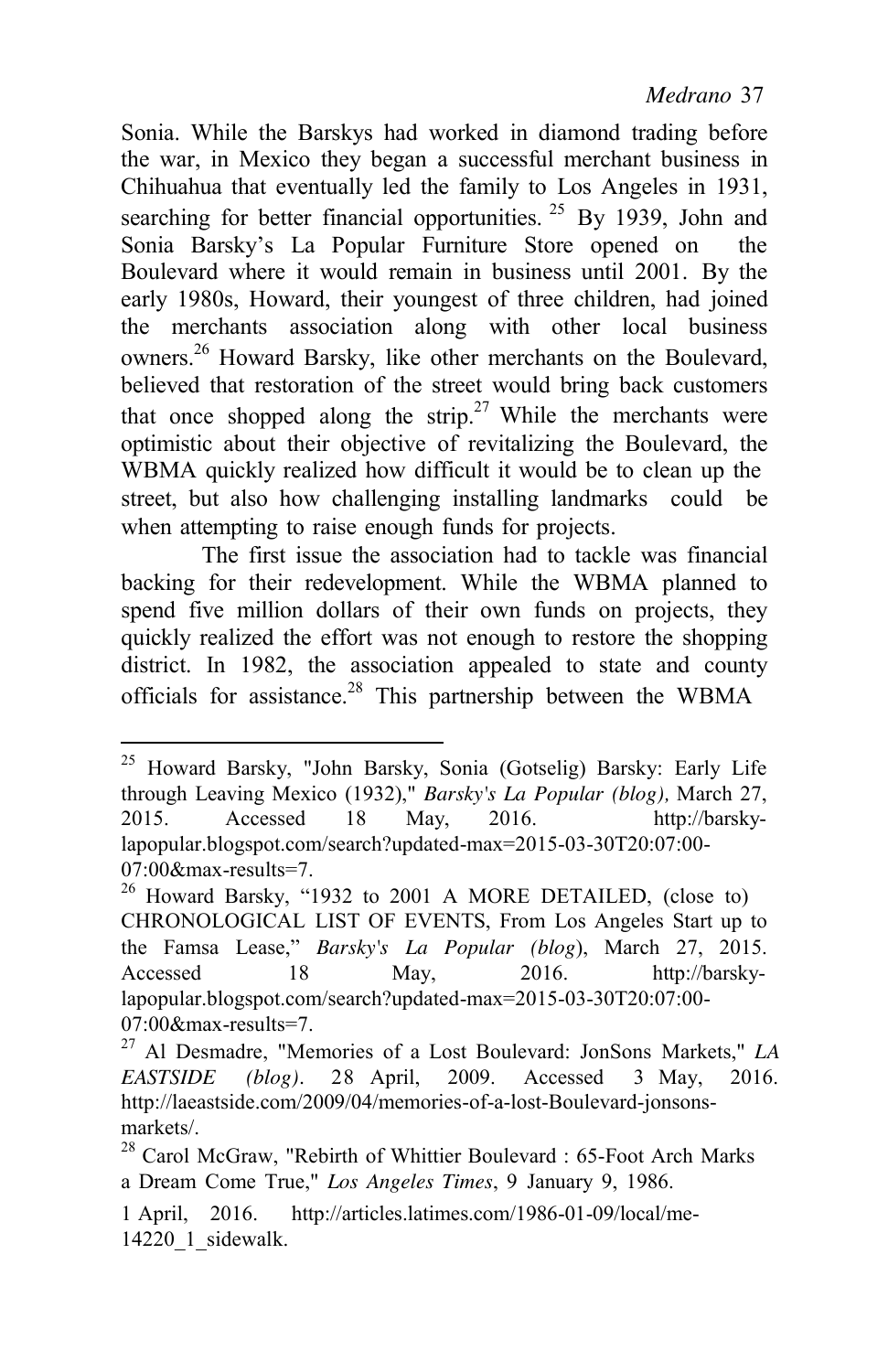Sonia. While the Barskys had worked in diamond trading before the war, in Mexico they began a successful merchant business in Chihuahua that eventually led the family to Los Angeles in 1931, searching for better financial opportunities.  $25$  By 1939, John and Sonia Barsky's La Popular Furniture Store opened on the Boulevard where it would remain in business until 2001. By the early 1980s, Howard, their youngest of three children, had joined the merchants association along with other local business owners.<sup>26</sup> Howard Barsky, like other merchants on the Boulevard, believed that restoration of the street would bring back customers that once shopped along the strip.<sup>27</sup> While the merchants were optimistic about their objective of revitalizing the Boulevard, the WBMA quickly realized how difficult it would be to clean up the street, but also how challenging installing landmarks could be when attempting to raise enough funds for projects.

The first issue the association had to tackle was financial backing for their redevelopment. While the WBMA planned to spend five million dollars of their own funds on projects, they quickly realized the effort was not enough to restore the shopping district. In 1982, the association appealed to state and county officials for assistance.28 This partnership between the WBMA

<sup>25</sup> Howard Barsky, "John Barsky, Sonia (Gotselig) Barsky: Early Life through Leaving Mexico (1932)," *Barsky's La Popular (blog),* March 27, 2015. Accessed 18 May, 2016. [http://barsky](http://barsky-/)lapopular.blogspot.com/search?updated-max=2015-03-30T20:07:00- 07:00&max-results=7.

 $^{26}$  Howard Barsky, "1932 to 2001 A MORE DETAILED, (close to) CHRONOLOGICAL LIST OF EVENTS, From Los Angeles Start up to the Famsa Lease," *Barsky's La Popular (blog*), March 27, 2015. Accessed 18 May, 2016. [http://barsky](http://barsky-/)lapopular.blogspot.com/search?updated-max=2015-03-30T20:07:00- 07:00&max-results=7.

<sup>27</sup> Al Desmadre, "Memories of a Lost Boulevard: JonSons Markets," *LA EASTSIDE (blog).* 28 April, 2009. Accessed 3 May, 2016. [http://laeastside.com/2009/04/memories-of-a-lost-Boulevard-jonsons](http://laeastside.com/2009/04/memories-of-a-lost-Boulevard-jonsons-)markets/.

<sup>&</sup>lt;sup>28</sup> Carol McGraw, "Rebirth of Whittier Boulevard : 65-Foot Arch Marks a Dream Come True," *Los Angeles Times*, 9 January 9, 1986.

<sup>1</sup> April, 2016. <http://articles.latimes.com/1986-01-09/local/me-> $14220$  1 sidewalk.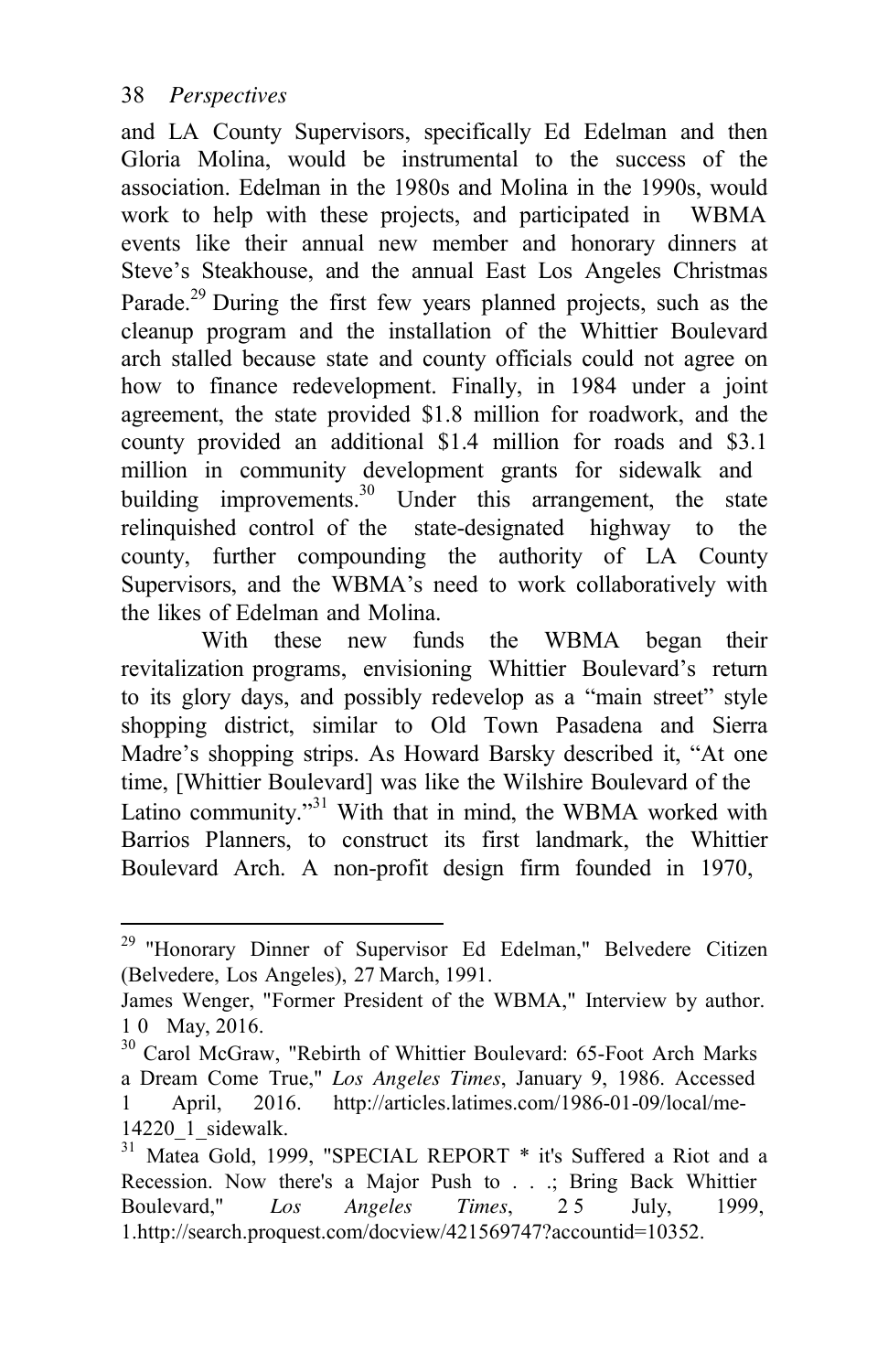and LA County Supervisors, specifically Ed Edelman and then Gloria Molina, would be instrumental to the success of the association. Edelman in the 1980s and Molina in the 1990s, would work to help with these projects, and participated in WBMA events like their annual new member and honorary dinners at Steve's Steakhouse, and the annual East Los Angeles Christmas Parade.<sup>29</sup> During the first few years planned projects, such as the cleanup program and the installation of the Whittier Boulevard arch stalled because state and county officials could not agree on how to finance redevelopment. Finally, in 1984 under a joint agreement, the state provided \$1.8 million for roadwork, and the county provided an additional \$1.4 million for roads and \$3.1 million in community development grants for sidewalk and building improvements.<sup>30</sup> Under this arrangement, the state relinquished control of the state-designated highway to the county, further compounding the authority of LA County Supervisors, and the WBMA's need to work collaboratively with the likes of Edelman and Molina.

With these new funds the WBMA began their revitalization programs, envisioning Whittier Boulevard's return to its glory days, and possibly redevelop as a "main street" style shopping district, similar to Old Town Pasadena and Sierra Madre's shopping strips. As Howard Barsky described it, "At one time, [Whittier Boulevard] was like the Wilshire Boulevard of the Latino community."<sup>31</sup> With that in mind, the WBMA worked with Barrios Planners, to construct its first landmark, the Whittier Boulevard Arch. A non-profit design firm founded in 1970,

<sup>&</sup>lt;sup>29</sup> "Honorary Dinner of Supervisor Ed Edelman," Belvedere Citizen (Belvedere, Los Angeles), 27 March, 1991.

James Wenger, "Former President of the WBMA," Interview by author. 1 0 May, 2016.

<sup>&</sup>lt;sup>30</sup> Carol McGraw, "Rebirth of Whittier Boulevard: 65-Foot Arch Marks a Dream Come True," *Los Angeles Times*, January 9, 1986. Accessed 1 April, 2016. <http://articles.latimes.com/1986-01-09/local/me->14220\_1\_sidewalk.

<sup>31</sup> Matea Gold, 1999, "SPECIAL REPORT \* it's Suffered a Riot and a Recession. Now there's a Major Push to . . .; Bring Back Whittier Boulevard," *Los Angeles Times*, 25 July, 1999, 1[.http://search.proquest.com/docview/421569747?accountid=10352.](http://search.proquest.com/docview/421569747?accountid=10352)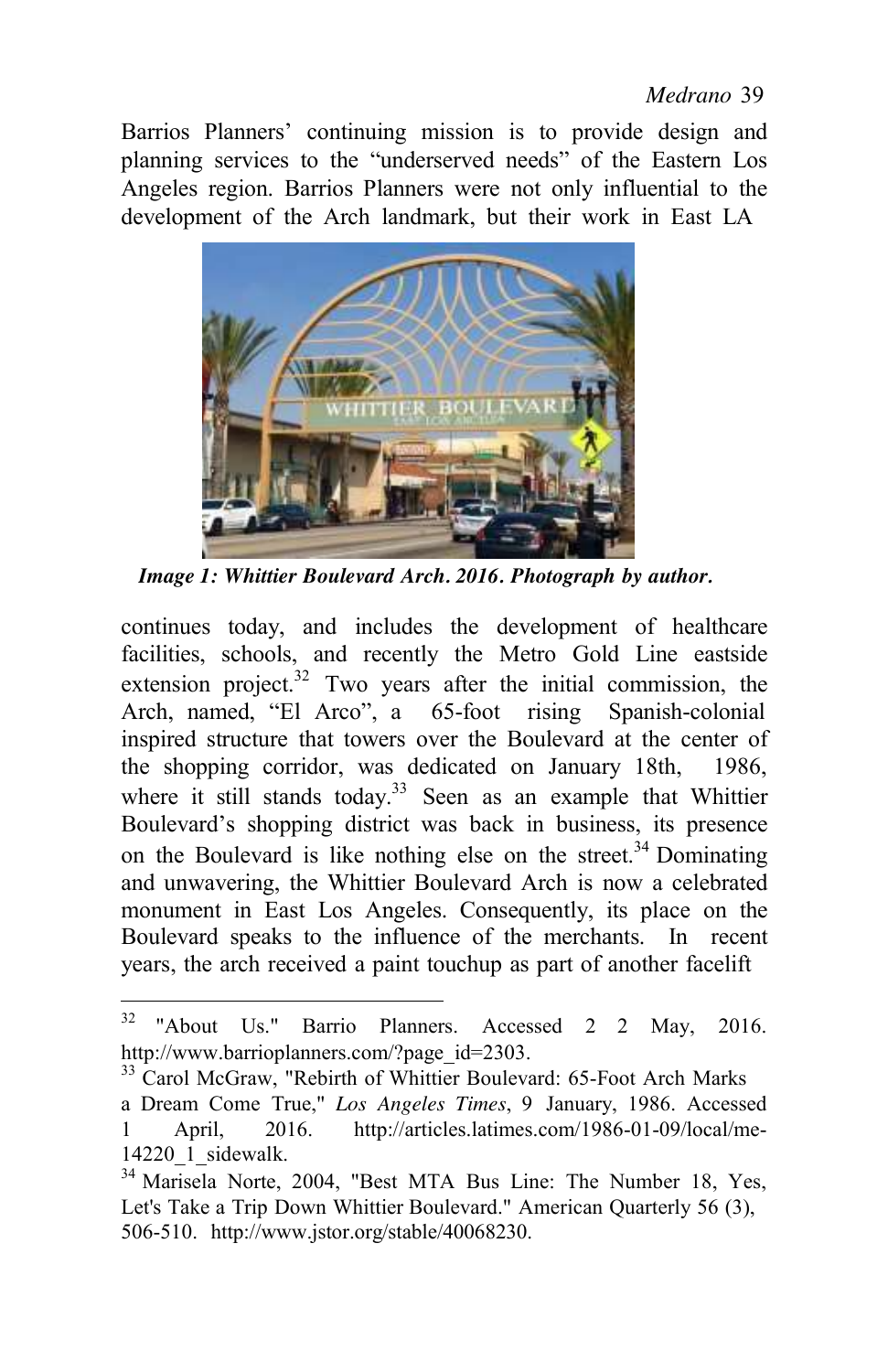Barrios Planners' continuing mission is to provide design and planning services to the "underserved needs" of the Eastern Los Angeles region. Barrios Planners were not only influential to the development of the Arch landmark, but their work in East LA



*Image 1: Whittier Boulevard Arch. 2016. Photograph by author.*

continues today, and includes the development of healthcare facilities, schools, and recently the Metro Gold Line eastside extension project.<sup>32</sup> Two years after the initial commission, the Arch, named, "El Arco", a 65-foot rising Spanish-colonial inspired structure that towers over the Boulevard at the center of the shopping corridor, was dedicated on January 18th, 1986, where it still stands today.<sup>33</sup> Seen as an example that Whittier Boulevard's shopping district was back in business, its presence on the Boulevard is like nothing else on the street.<sup>34</sup> Dominating and unwavering, the Whittier Boulevard Arch is now a celebrated monument in East Los Angeles. Consequently, its place on the Boulevard speaks to the influence of the merchants. In recent years, the arch received a paint touchup as part of another facelift

<sup>32 &</sup>quot;About Us." Barrio Planners. Accessed 2 2 May, 2016[.](http://www.barrioplanners.com/?page_id=2303) http://www.barrioplanners.com/?page\_id=2303.

<sup>&</sup>lt;sup>33</sup> Carol McGraw, "Rebirth of Whittier Boulevard: 65-Foot Arch Marks a Dream Come True," *Los Angeles Times*, 9 January, 1986. Accessed 1 April, 2016. <http://articles.latimes.com/1986-01-09/local/me->14220\_1\_sidewalk.

<sup>&</sup>lt;sup>34</sup> Marisela Norte, 2004, "Best MTA Bus Line: The Number 18, Yes, Let's Take a Trip Down Whittier Boulevard." American Quarterly 56 (3), 506-510. [http://www.jstor.org/stable/40068230.](http://www.jstor.org/stable/40068230)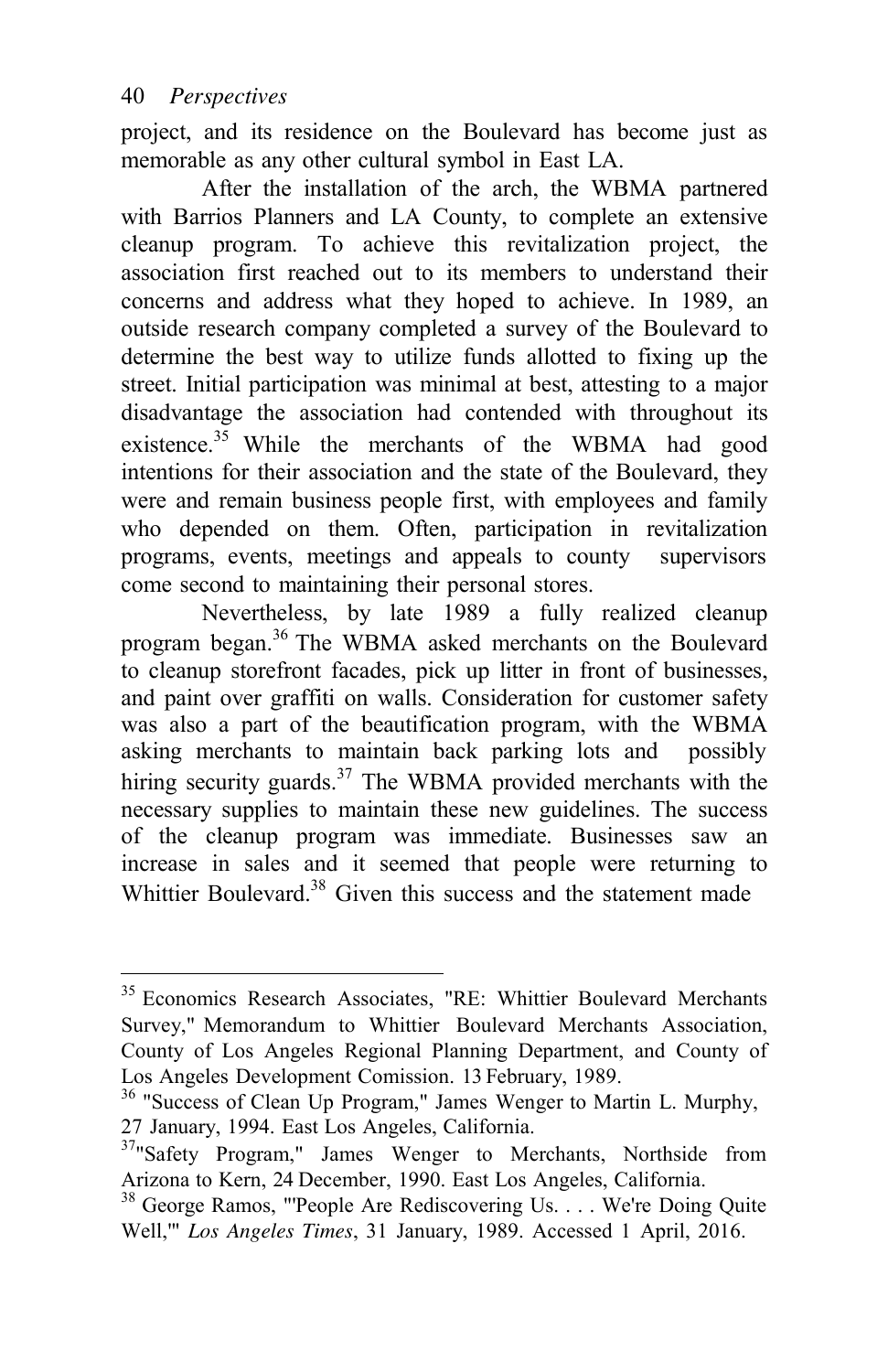project, and its residence on the Boulevard has become just as memorable as any other cultural symbol in East LA.

After the installation of the arch, the WBMA partnered with Barrios Planners and LA County, to complete an extensive cleanup program. To achieve this revitalization project, the association first reached out to its members to understand their concerns and address what they hoped to achieve. In 1989, an outside research company completed a survey of the Boulevard to determine the best way to utilize funds allotted to fixing up the street. Initial participation was minimal at best, attesting to a major disadvantage the association had contended with throughout its existence.<sup>35</sup> While the merchants of the WBMA had good intentions for their association and the state of the Boulevard, they were and remain business people first, with employees and family who depended on them. Often, participation in revitalization programs, events, meetings and appeals to county supervisors come second to maintaining their personal stores.

Nevertheless, by late 1989 a fully realized cleanup program began.<sup>36</sup> The WBMA asked merchants on the Boulevard to cleanup storefront facades, pick up litter in front of businesses, and paint over graffiti on walls. Consideration for customer safety was also a part of the beautification program, with the WBMA asking merchants to maintain back parking lots and possibly hiring security guards.<sup>37</sup> The WBMA provided merchants with the necessary supplies to maintain these new guidelines. The success of the cleanup program was immediate. Businesses saw an increase in sales and it seemed that people were returning to Whittier Boulevard<sup>38</sup> Given this success and the statement made

<sup>&</sup>lt;sup>35</sup> Economics Research Associates, "RE: Whittier Boulevard Merchants Survey," Memorandum to Whittier Boulevard Merchants Association, County of Los Angeles Regional Planning Department, and County of Los Angeles Development Comission. 13 February, 1989.

<sup>&</sup>lt;sup>36</sup> "Success of Clean Up Program," James Wenger to Martin L. Murphy, 27 January, 1994. East Los Angeles, California.

<sup>&</sup>lt;sup>37</sup> Safety Program," James Wenger to Merchants, Northside from Arizona to Kern, 24 December, 1990. East Los Angeles, California. 38 George Ramos, "'People Are Rediscovering Us. . . . We're Doing Quite

Well,'" *Los Angeles Times*, 31 January, 1989. Accessed 1 April, 2016.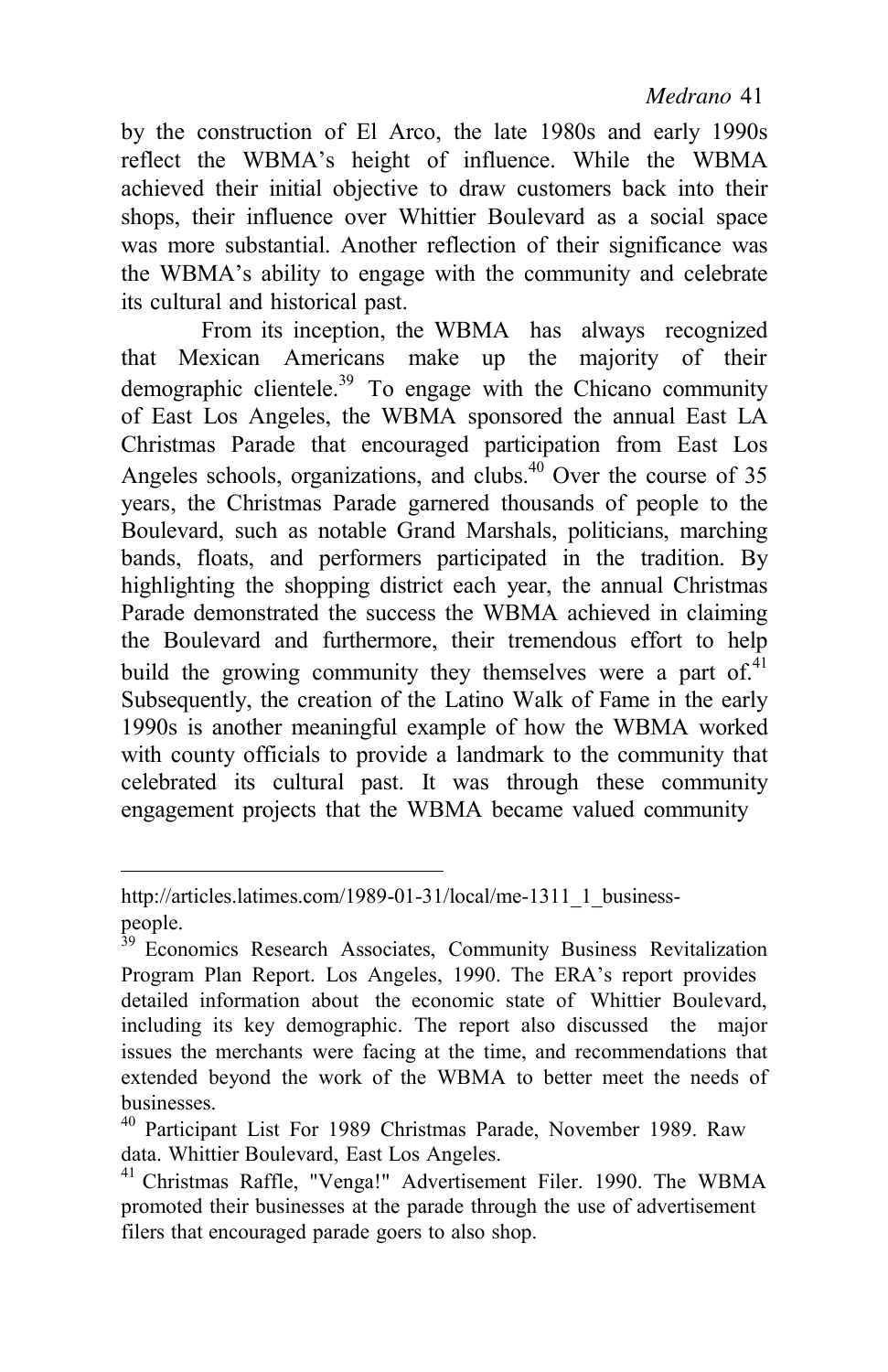by the construction of El Arco, the late 1980s and early 1990s reflect the WBMA's height of influence. While the WBMA achieved their initial objective to draw customers back into their shops, their influence over Whittier Boulevard as a social space was more substantial. Another reflection of their significance was the WBMA's ability to engage with the community and celebrate its cultural and historical past.

From its inception, the WBMA has always recognized that Mexican Americans make up the majority of their demographic clientele.<sup>39</sup> To engage with the Chicano community of East Los Angeles, the WBMA sponsored the annual East LA Christmas Parade that encouraged participation from East Los Angeles schools, organizations, and clubs. $40$  Over the course of 35 years, the Christmas Parade garnered thousands of people to the Boulevard, such as notable Grand Marshals, politicians, marching bands, floats, and performers participated in the tradition. By highlighting the shopping district each year, the annual Christmas Parade demonstrated the success the WBMA achieved in claiming the Boulevard and furthermore, their tremendous effort to help build the growing community they themselves were a part of. $41$ Subsequently, the creation of the Latino Walk of Fame in the early 1990s is another meaningful example of how the WBMA worked with county officials to provide a landmark to the community that celebrated its cultural past. It was through these community engagement projects that the WBMA became valued community

[http://articles.latimes.com/1989-01-31/local/me-1311\\_1\\_business](http://articles.latimes.com/1989-01-31/local/me-1311_1_business-)people.

<sup>&</sup>lt;sup>39</sup> Economics Research Associates, Community Business Revitalization Program Plan Report. Los Angeles, 1990. The ERA's report provides detailed information about the economic state of Whittier Boulevard, including its key demographic. The report also discussed the major issues the merchants were facing at the time, and recommendations that extended beyond the work of the WBMA to better meet the needs of businesses.

<sup>40</sup> Participant List For 1989 Christmas Parade, November 1989. Raw data. Whittier Boulevard, East Los Angeles.

<sup>41</sup> Christmas Raffle, "Venga!" Advertisement Filer. 1990. The WBMA promoted their businesses at the parade through the use of advertisement filers that encouraged parade goers to also shop.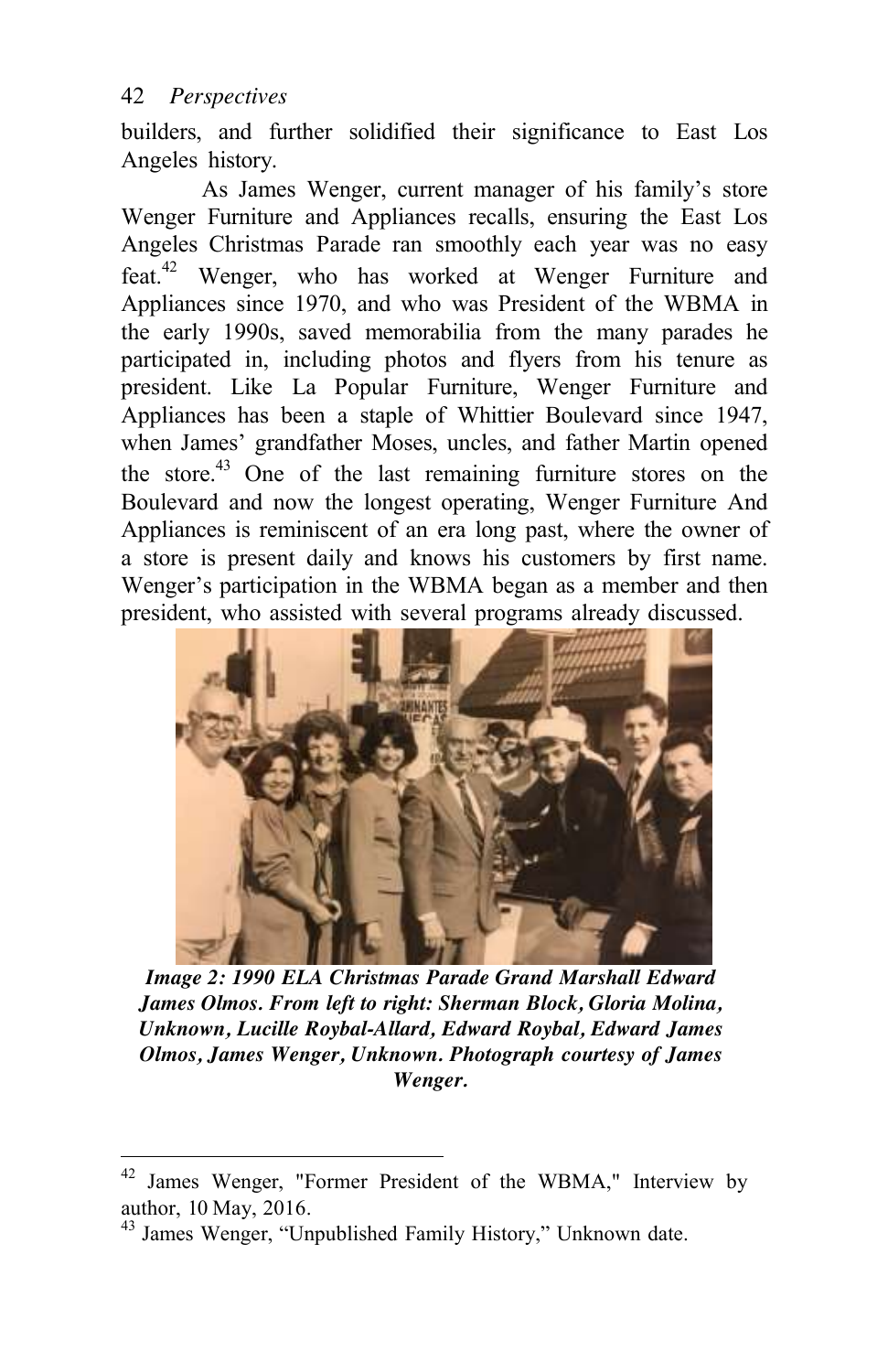builders, and further solidified their significance to East Los Angeles history.

As James Wenger, current manager of his family's store Wenger Furniture and Appliances recalls, ensuring the East Los Angeles Christmas Parade ran smoothly each year was no easy feat.<sup>42</sup> Wenger, who has worked at Wenger Furniture and Appliances since 1970, and who was President of the WBMA in the early 1990s, saved memorabilia from the many parades he participated in, including photos and flyers from his tenure as president. Like La Popular Furniture, Wenger Furniture and Appliances has been a staple of Whittier Boulevard since 1947, when James' grandfather Moses, uncles, and father Martin opened the store.<sup>43</sup> One of the last remaining furniture stores on the Boulevard and now the longest operating, Wenger Furniture And Appliances is reminiscent of an era long past, where the owner of a store is present daily and knows his customers by first name. Wenger's participation in the WBMA began as a member and then president, who assisted with several programs already discussed.



*Image 2: 1990 ELA Christmas Parade Grand Marshall Edward James Olmos. From left to right: Sherman Block, Gloria Molina, Unknown, Lucille Roybal-Allard, Edward Roybal, Edward James Olmos, James Wenger, Unknown. Photograph courtesy of James Wenger.*

<sup>42</sup> James Wenger, "Former President of the WBMA," Interview by author, 10 May, 2016.

<sup>&</sup>lt;sup>43</sup> James Wenger, "Unpublished Family History," Unknown date.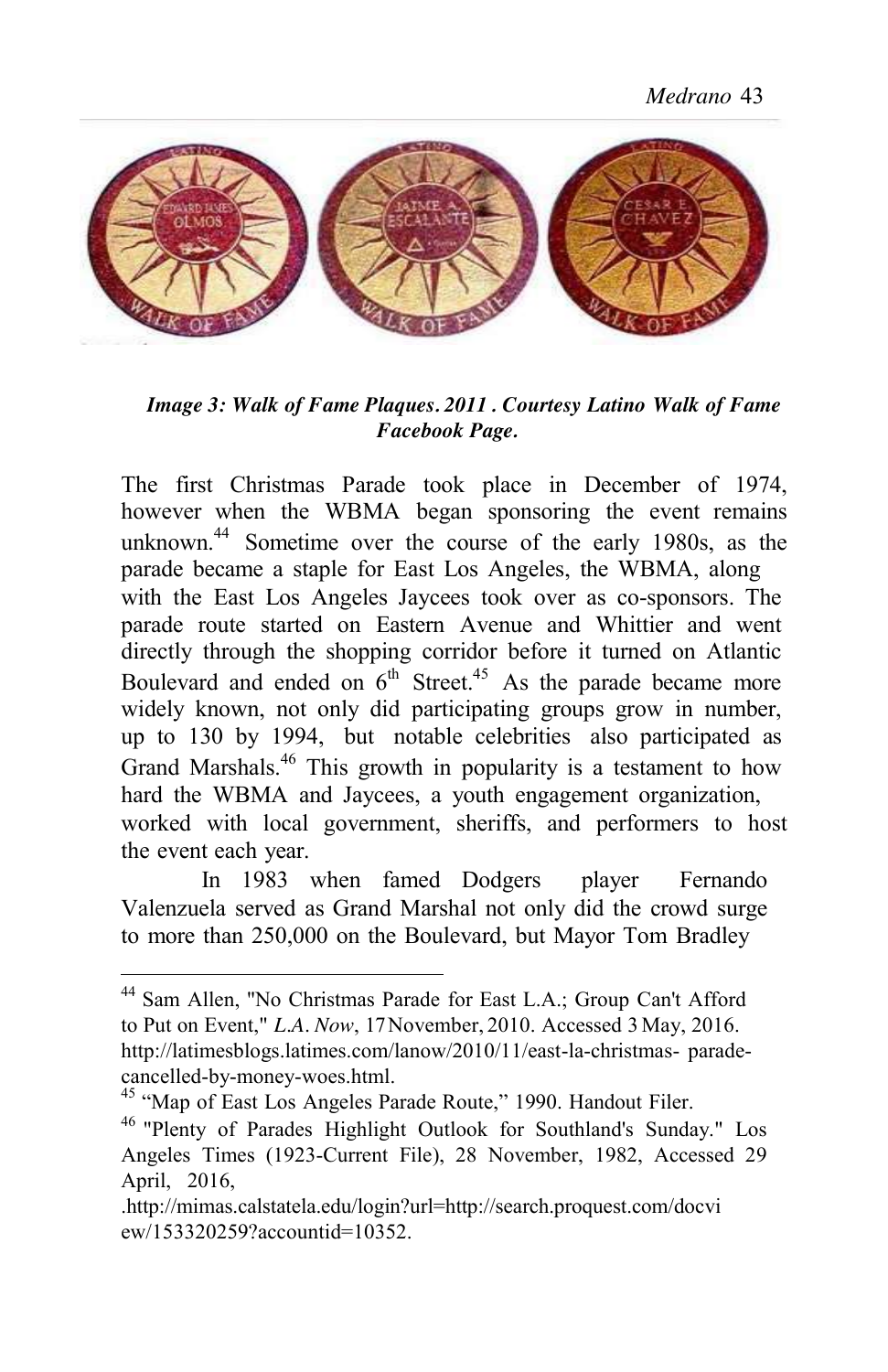

*Image 3: Walk of Fame Plaques. 2011 . Courtesy Latino Walk of Fame Facebook Page.*

The first Christmas Parade took place in December of 1974, however when the WBMA began sponsoring the event remains unknown.<sup>44</sup> Sometime over the course of the early 1980s, as the parade became a staple for East Los Angeles, the WBMA, along with the East Los Angeles Jaycees took over as co-sponsors. The parade route started on Eastern Avenue and Whittier and went directly through the shopping corridor before it turned on Atlantic Boulevard and ended on  $6<sup>th</sup>$  Street.<sup>45</sup> As the parade became more widely known, not only did participating groups grow in number, up to 130 by 1994, but notable celebrities also participated as Grand Marshals.<sup>46</sup> This growth in popularity is a testament to how hard the WBMA and Jaycees, a youth engagement organization, worked with local government, sheriffs, and performers to host the event each year.

In 1983 when famed Dodgers player Fernando Valenzuela served as Grand Marshal not only did the crowd surge to more than 250,000 on the Boulevard, but Mayor Tom Bradley

<sup>&</sup>lt;sup>44</sup> Sam Allen, "No Christmas Parade for East L.A.; Group Can't Afford to Put on Event," *L.A. Now*, 17 November, 2010. Accessed 3 May, 2016[.](http://latimesblogs.latimes.com/lanow/2010/11/east-la-christmas-) <http://latimesblogs.latimes.com/lanow/2010/11/east-la-christmas->paradecancelled-by-money-woes.html.<br><sup>45</sup> "Map of East Los Angeles Parade Route," 1990. Handout Filer.<br><sup>46</sup> "Plenty of Parades Highlight Outlook for Southland's Sunday." Los

Angeles Times (1923-Current File), 28 November, 1982, Accessed 29 April, 2016,

[<sup>.</sup>http://mimas.calstatela.edu/login?url=http://search.proquest.com/docvi](http://mimas.calstatela.edu/login?url) ew/153320259?accountid=10352.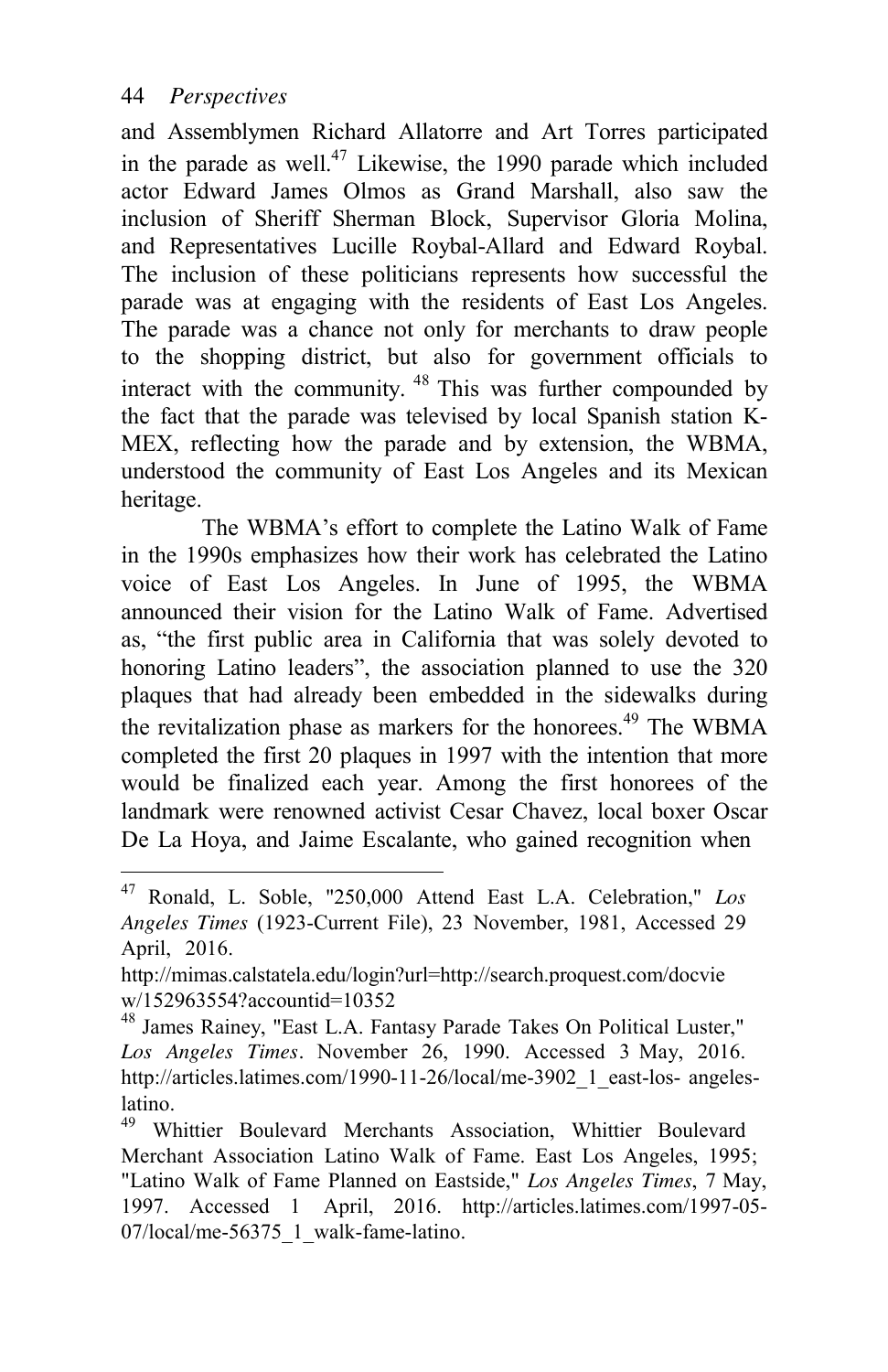and Assemblymen Richard Allatorre and Art Torres participated in the parade as well.<sup>47</sup> Likewise, the 1990 parade which included actor Edward James Olmos as Grand Marshall, also saw the inclusion of Sheriff Sherman Block, Supervisor Gloria Molina, and Representatives Lucille Roybal-Allard and Edward Roybal. The inclusion of these politicians represents how successful the parade was at engaging with the residents of East Los Angeles. The parade was a chance not only for merchants to draw people to the shopping district, but also for government officials to interact with the community.  $48$  This was further compounded by the fact that the parade was televised by local Spanish station K-MEX, reflecting how the parade and by extension, the WBMA, understood the community of East Los Angeles and its Mexican heritage.

The WBMA's effort to complete the Latino Walk of Fame in the 1990s emphasizes how their work has celebrated the Latino voice of East Los Angeles. In June of 1995, the WBMA announced their vision for the Latino Walk of Fame. Advertised as, "the first public area in California that was solely devoted to honoring Latino leaders", the association planned to use the 320 plaques that had already been embedded in the sidewalks during the revitalization phase as markers for the honorees.<sup>49</sup> The WBMA completed the first 20 plaques in 1997 with the intention that more would be finalized each year. Among the first honorees of the landmark were renowned activist Cesar Chavez, local boxer Oscar De La Hoya, and Jaime Escalante, who gained recognition when

<sup>47</sup> Ronald, L. Soble, "250,000 Attend East L.A. Celebration," *Los Angeles Times* (1923-Current File), 23 November, 1981, Accessed 29 April, 2016.

[http://mimas.calstatela.edu/login?url=http://search.proquest.com/docvie](http://mimas.calstatela.edu/login?ur) w/152963554?accountid=10352

<sup>&</sup>lt;sup>48</sup> James Rainey, "East L.A. Fantasy Parade Takes On Political Luster," *Los Angeles Times.* November 26, 1990. Accessed 3 May, 201[6.](http://articles.latimes.com/1990-11-26/local/me-3902_1_east-los-)  [http://articles.latimes.com/1990-11-26/local/me-3902\\_1\\_east-los-](http://articles.latimes.com/1990-11-26/local/me-3902_1_east-los-) angeleslatino.

<sup>49</sup> Whittier Boulevard Merchants Association, Whittier Boulevard Merchant Association Latino Walk of Fame. East Los Angeles, 1995; "Latino Walk of Fame Planned on Eastside," *Los Angeles Times*, 7 May, 1997. Accessed 1 April, 2016. <http://articles.latimes.com/1997-05-> 07/local/me-56375\_1\_walk-fame-latino.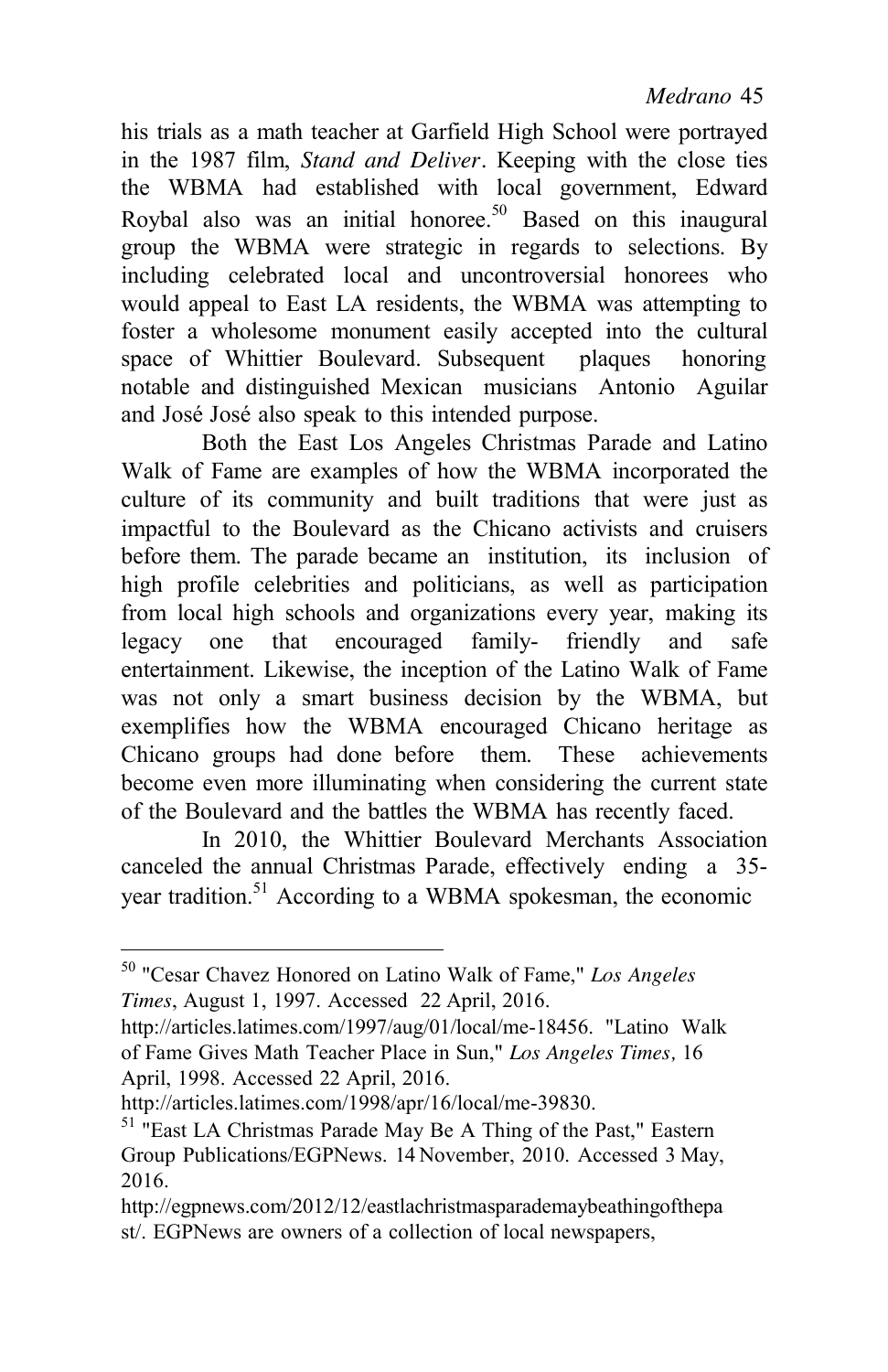his trials as a math teacher at Garfield High School were portrayed in the 1987 film, *Stand and Deliver.* Keeping with the close ties the WBMA had established with local government, Edward Roybal also was an initial honoree.<sup>50</sup> Based on this inaugural group the WBMA were strategic in regards to selections. By including celebrated local and uncontroversial honorees who would appeal to East LA residents, the WBMA was attempting to foster a wholesome monument easily accepted into the cultural space of Whittier Boulevard. Subsequent plaques honoring notable and distinguished Mexican musicians Antonio Aguilar and José José also speak to this intended purpose.

Both the East Los Angeles Christmas Parade and Latino Walk of Fame are examples of how the WBMA incorporated the culture of its community and built traditions that were just as impactful to the Boulevard as the Chicano activists and cruisers before them. The parade became an institution, its inclusion of high profile celebrities and politicians, as well as participation from local high schools and organizations every year, making its legacy one that encouraged family- friendly and safe entertainment. Likewise, the inception of the Latino Walk of Fame was not only a smart business decision by the WBMA, but exemplifies how the WBMA encouraged Chicano heritage as Chicano groups had done before them. These achievements become even more illuminating when considering the current state of the Boulevard and the battles the WBMA has recently faced.

In 2010, the Whittier Boulevard Merchants Association canceled the annual Christmas Parade, effectively ending a 35 year tradition.<sup>51</sup> According to a WBMA spokesman, the economic

[http://articles.latimes.com/1998/apr/16/local/me-39830.](http://articles.latimes.com/1998/apr/16/local/me-39830) 

<sup>50</sup> "Cesar Chavez Honored on Latino Walk of Fame," *Los Angeles Times*, August 1, 1997. Accessed 22 April, 2016.

[http://articles.latimes.com/1997/aug/01/local/me-18456.](http://articles.latimes.com/1997/aug/01/local/me-18456) "Latino Walk of Fame Gives Math Teacher Place in Sun," *Los Angeles Times,* 16 April, 1998. Accessed 22 April, 2016.

<sup>&</sup>lt;sup>51</sup> "East LA Christmas Parade May Be A Thing of the Past," Eastern Group Publications/EGPNews. 14 November, 2010. Accessed 3 May, 2016.

<http://egpnews.com/2012/12/eastlachristmasparademaybeathingofthepa> st/. EGPNews are owners of a collection of local newspapers,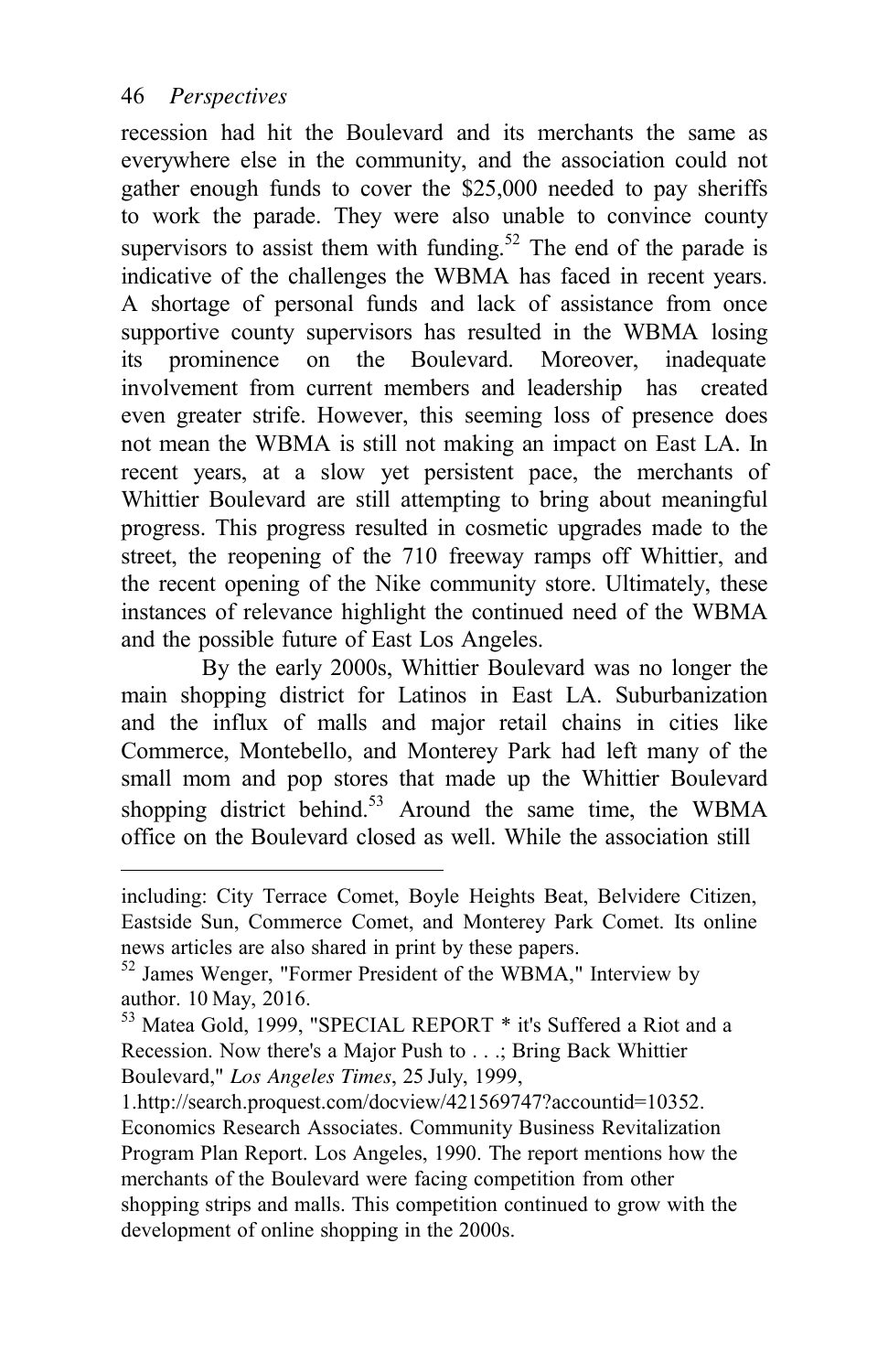recession had hit the Boulevard and its merchants the same as everywhere else in the community, and the association could not gather enough funds to cover the \$25,000 needed to pay sheriffs to work the parade. They were also unable to convince county supervisors to assist them with funding.<sup>52</sup> The end of the parade is indicative of the challenges the WBMA has faced in recent years. A shortage of personal funds and lack of assistance from once supportive county supervisors has resulted in the WBMA losing its prominence on the Boulevard. Moreover, inadequate involvement from current members and leadership has created even greater strife. However, this seeming loss of presence does not mean the WBMA is still not making an impact on East LA. In recent years, at a slow yet persistent pace, the merchants of Whittier Boulevard are still attempting to bring about meaningful progress. This progress resulted in cosmetic upgrades made to the street, the reopening of the 710 freeway ramps off Whittier, and the recent opening of the Nike community store. Ultimately, these instances of relevance highlight the continued need of the WBMA and the possible future of East Los Angeles.

By the early 2000s, Whittier Boulevard was no longer the main shopping district for Latinos in East LA. Suburbanization and the influx of malls and major retail chains in cities like Commerce, Montebello, and Monterey Park had left many of the small mom and pop stores that made up the Whittier Boulevard shopping district behind. $53$  Around the same time, the WBMA office on the Boulevard closed as well. While the association still

1[.http://search.proquest.com/docview/421569747?accountid=10352.](http://search.proquest.com/docview/421569747?accountid=10352) Economics Research Associates. Community Business Revitalization Program Plan Report. Los Angeles, 1990. The report mentions how the merchants of the Boulevard were facing competition from other shopping strips and malls. This competition continued to grow with the development of online shopping in the 2000s.

including: City Terrace Comet, Boyle Heights Beat, Belvidere Citizen, Eastside Sun, Commerce Comet, and Monterey Park Comet. Its online news articles are also shared in print by these papers.<br><sup>52</sup> James Wenger, "Former President of the WBMA," Interview by

author. 10 May, 2016.

<sup>53</sup> Matea Gold, 1999, "SPECIAL REPORT \* it's Suffered a Riot and a Recession. Now there's a Major Push to . . .; Bring Back Whittier Boulevard," *Los Angeles Times*, 25 July, 1999,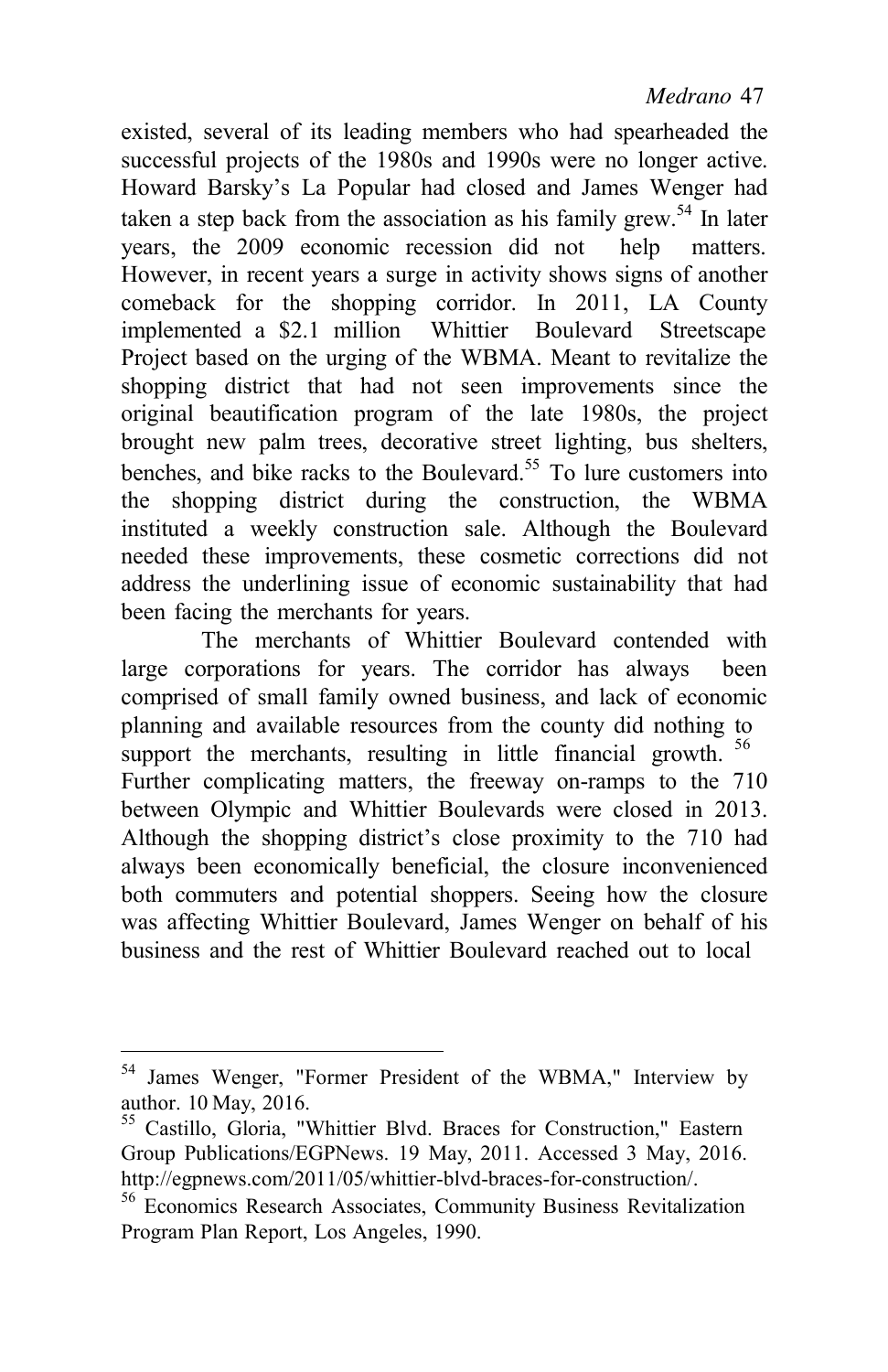existed, several of its leading members who had spearheaded the successful projects of the 1980s and 1990s were no longer active. Howard Barsky's La Popular had closed and James Wenger had taken a step back from the association as his family grew.<sup>54</sup> In later years, the 2009 economic recession did not help matters. However, in recent years a surge in activity shows signs of another comeback for the shopping corridor. In 2011, LA County implemented a \$2.1 million Whittier Boulevard Streetscape Project based on the urging of the WBMA. Meant to revitalize the shopping district that had not seen improvements since the original beautification program of the late 1980s, the project brought new palm trees, decorative street lighting, bus shelters, benches, and bike racks to the Boulevard.<sup>55</sup> To lure customers into the shopping district during the construction, the WBMA instituted a weekly construction sale. Although the Boulevard needed these improvements, these cosmetic corrections did not address the underlining issue of economic sustainability that had been facing the merchants for years.

The merchants of Whittier Boulevard contended with large corporations for years. The corridor has always been comprised of small family owned business, and lack of economic planning and available resources from the county did nothing to support the merchants, resulting in little financial growth. <sup>56</sup> Further complicating matters, the freeway on-ramps to the 710 between Olympic and Whittier Boulevards were closed in 2013. Although the shopping district's close proximity to the 710 had always been economically beneficial, the closure inconvenienced both commuters and potential shoppers. Seeing how the closure was affecting Whittier Boulevard, James Wenger on behalf of his business and the rest of Whittier Boulevard reached out to local

 $54$  James Wenger, "Former President of the WBMA," Interview by author. 10 May, 2016.

<sup>&</sup>lt;sup>55</sup> Castillo, Gloria, "Whittier Blvd. Braces for Construction," Eastern Group Publications/EGPNews. 19 May, 2011. Accessed 3 May, 2016[.](http://egpnews.com/2011/05/whittier-blvd-braces-for-construction/) [http://egpnews.com/2011/05/whittier-blvd-braces-for-construction/.](http://egpnews.com/2011/05/whittier-blvd-braces-for-construction/) 

<sup>&</sup>lt;sup>56</sup> Economics Research Associates, Community Business Revitalization Program Plan Report, Los Angeles, 1990.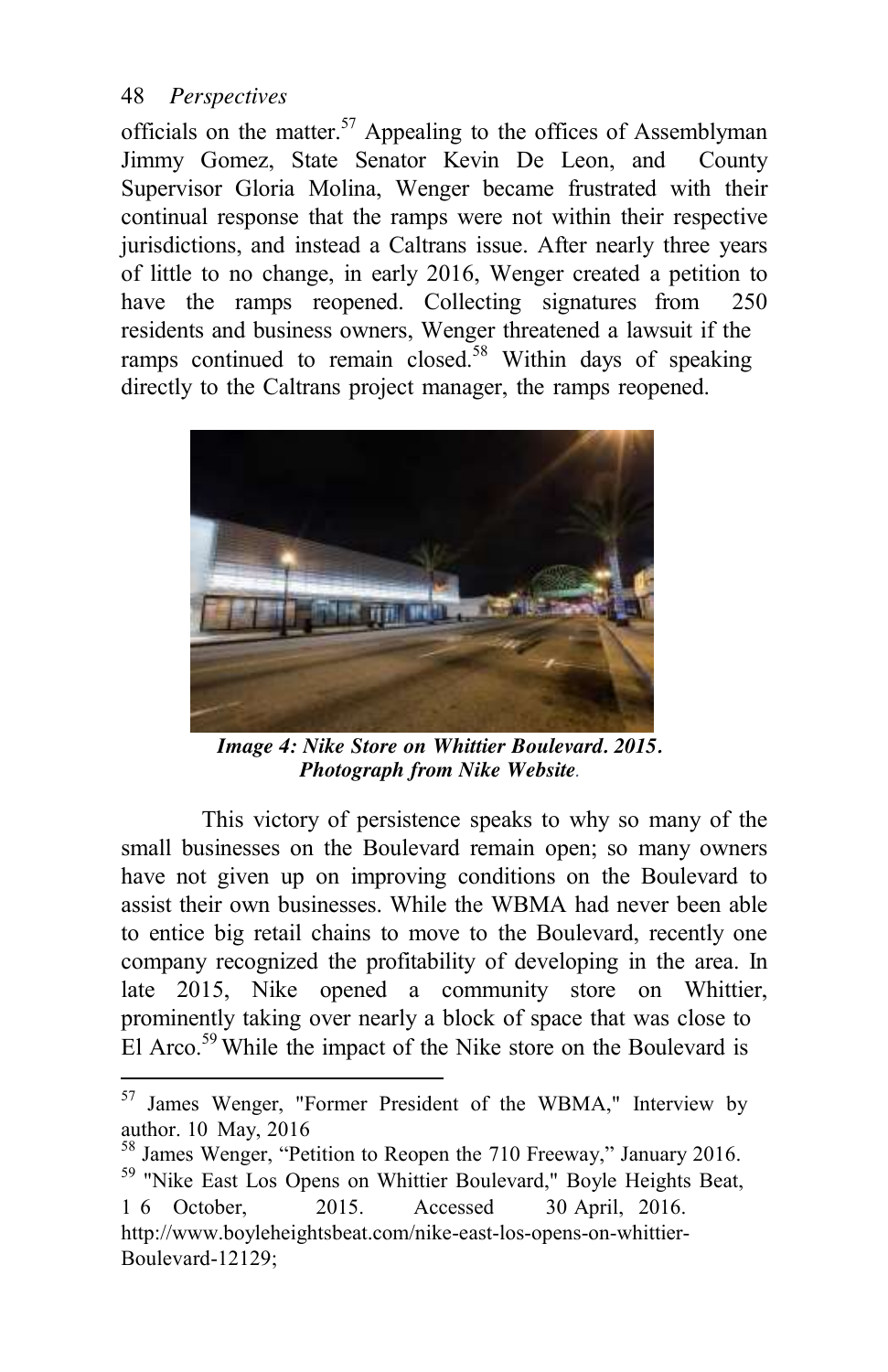officials on the matter. $57$  Appealing to the offices of Assemblyman Jimmy Gomez, State Senator Kevin De Leon, and County Supervisor Gloria Molina, Wenger became frustrated with their continual response that the ramps were not within their respective jurisdictions, and instead a Caltrans issue. After nearly three years of little to no change, in early 2016, Wenger created a petition to have the ramps reopened. Collecting signatures from 250 residents and business owners, Wenger threatened a lawsuit if the ramps continued to remain closed.<sup>58</sup> Within days of speaking directly to the Caltrans project manager, the ramps reopened.



*Image 4: Nike Store on Whittier Boulevard. 2015. Photograph from Nike Website.*

This victory of persistence speaks to why so many of the small businesses on the Boulevard remain open; so many owners have not given up on improving conditions on the Boulevard to assist their own businesses. While the WBMA had never been able to entice big retail chains to move to the Boulevard, recently one company recognized the profitability of developing in the area. In late 2015, Nike opened a community store on Whittier, prominently taking over nearly a block of space that was close to El Arco.<sup>59</sup> While the impact of the Nike store on the Boulevard is

 $57$  James Wenger, "Former President of the WBMA," Interview by author. 10 May, 2016

 $\frac{58}{38}$  James Wenger, "Petition to Reopen the 710 Freeway," January 2016. <sup>59</sup> "Nike East Los Opens on Whittier Boulevard," Boyle Heights Beat, 1 6 October, 2015. Accessed 30 April, 2016. <http://www.boyleheightsbeat.com/nike-east-los-opens-on-whittier->Boulevard-12129;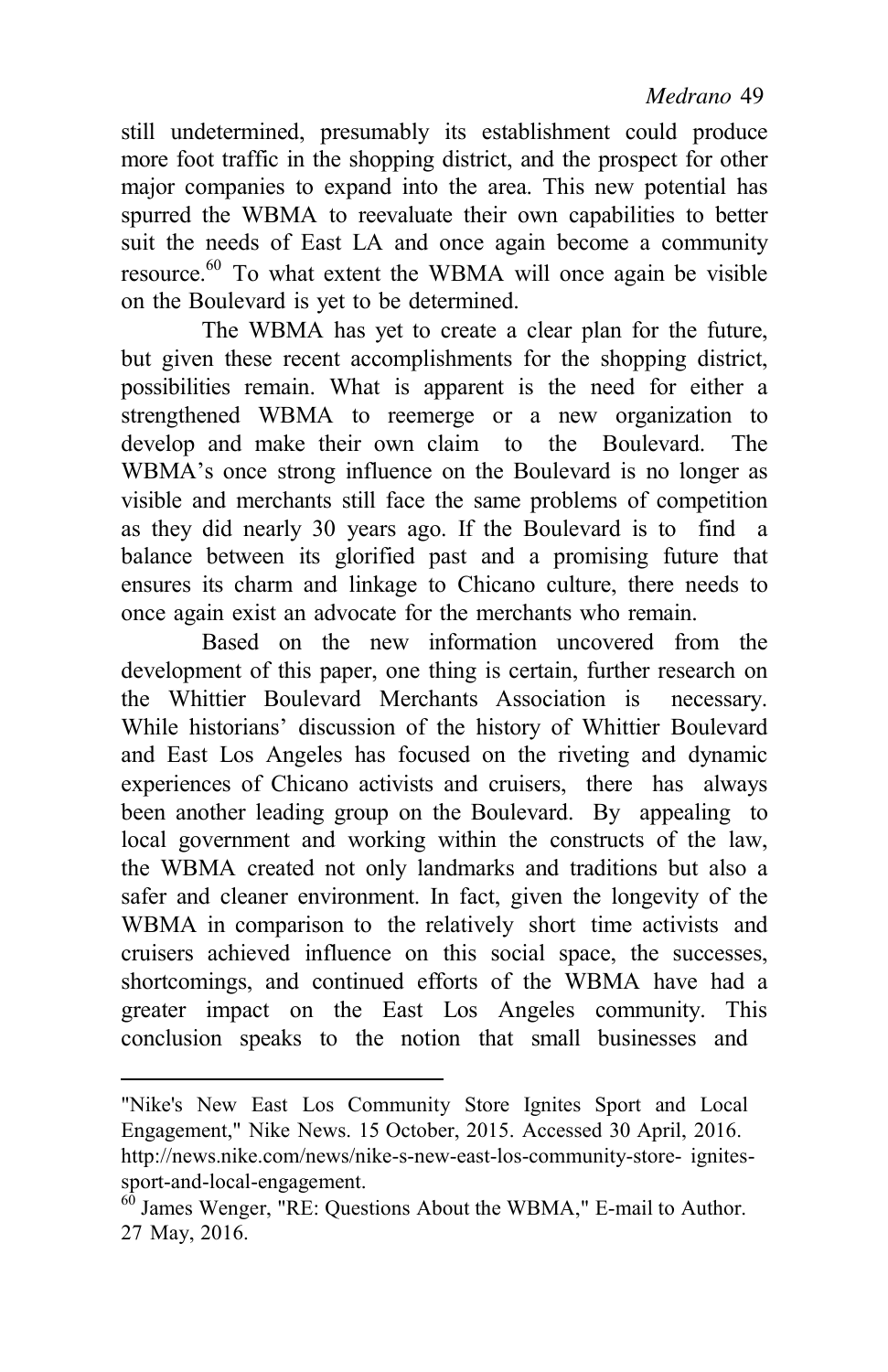still undetermined, presumably its establishment could produce more foot traffic in the shopping district, and the prospect for other major companies to expand into the area. This new potential has spurred the WBMA to reevaluate their own capabilities to better suit the needs of East LA and once again become a community resource. 60 To what extent the WBMA will once again be visible on the Boulevard is yet to be determined.

The WBMA has yet to create a clear plan for the future, but given these recent accomplishments for the shopping district, possibilities remain. What is apparent is the need for either a strengthened WBMA to reemerge or a new organization to develop and make their own claim to the Boulevard. The WBMA's once strong influence on the Boulevard is no longer as visible and merchants still face the same problems of competition as they did nearly 30 years ago. If the Boulevard is to find a balance between its glorified past and a promising future that ensures its charm and linkage to Chicano culture, there needs to once again exist an advocate for the merchants who remain.

Based on the new information uncovered from the development of this paper, one thing is certain, further research on the Whittier Boulevard Merchants Association is necessary. While historians' discussion of the history of Whittier Boulevard and East Los Angeles has focused on the riveting and dynamic experiences of Chicano activists and cruisers, there has always been another leading group on the Boulevard. By appealing to local government and working within the constructs of the law, the WBMA created not only landmarks and traditions but also a safer and cleaner environment. In fact, given the longevity of the WBMA in comparison to the relatively short time activists and cruisers achieved influence on this social space, the successes, shortcomings, and continued efforts of the WBMA have had a greater impact on the East Los Angeles community. This conclusion speaks to the notion that small businesses and

<sup>&</sup>quot;Nike's New East Los Community Store Ignites Sport and Local Engagement," Nike News. 15 October, 2015. Accessed 30 April, 2016[.](http://news.nike.com/news/nike-s-new-east-los-community-store-)  <http://news.nike.com/news/nike-s-new-east-los-community-store->ignitessport-and-local-engagement.

James Wenger, "RE: Questions About the WBMA," E-mail to Author. 27 May, 2016.